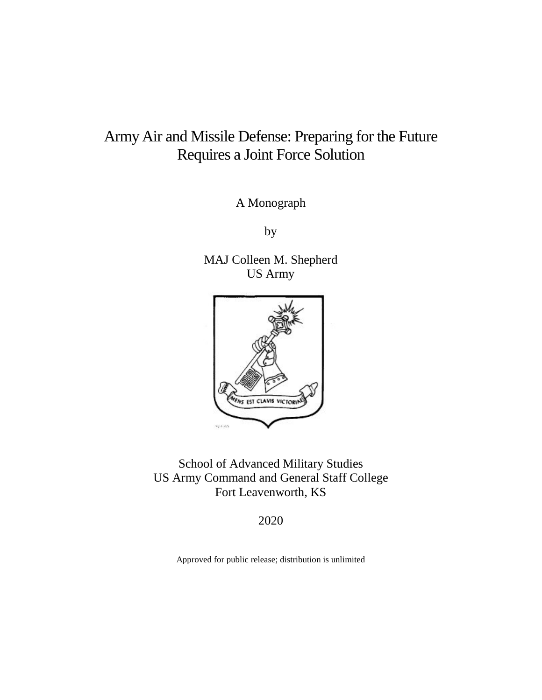# Army Air and Missile Defense: Preparing for the Future Requires a Joint Force Solution

A Monograph

by

MAJ Colleen M. Shepherd US Army



School of Advanced Military Studies US Army Command and General Staff College Fort Leavenworth, KS

2020

Approved for public release; distribution is unlimited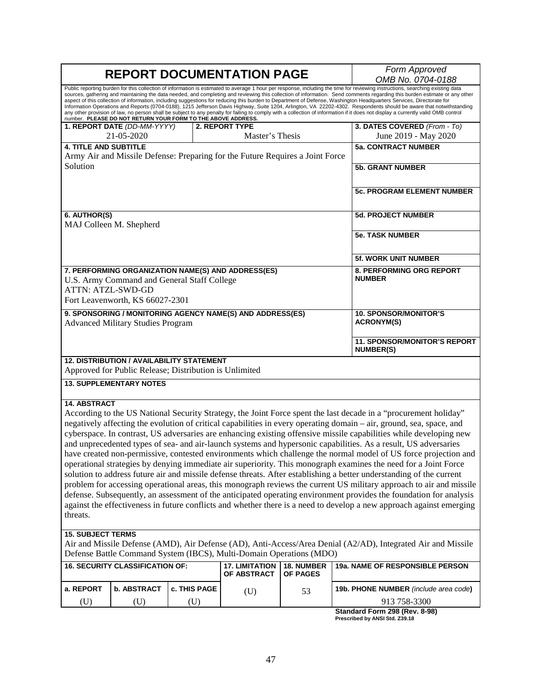| <b>REPORT DOCUMENTATION PAGE</b>                                                                                              |                                                                                                     |              |                                                                     |                   | Form Approved<br>OMB No. 0704-0188                                                                                                                                                                                                                                                                                                                                                                                                                                                                                                                                                                                                                                                                                                                                                                                                                                                                                                                                                                                                                                                                                                                                                                                   |
|-------------------------------------------------------------------------------------------------------------------------------|-----------------------------------------------------------------------------------------------------|--------------|---------------------------------------------------------------------|-------------------|----------------------------------------------------------------------------------------------------------------------------------------------------------------------------------------------------------------------------------------------------------------------------------------------------------------------------------------------------------------------------------------------------------------------------------------------------------------------------------------------------------------------------------------------------------------------------------------------------------------------------------------------------------------------------------------------------------------------------------------------------------------------------------------------------------------------------------------------------------------------------------------------------------------------------------------------------------------------------------------------------------------------------------------------------------------------------------------------------------------------------------------------------------------------------------------------------------------------|
|                                                                                                                               | number. PLEASE DO NOT RETURN YOUR FORM TO THE ABOVE ADDRESS.                                        |              |                                                                     |                   | Public reporting burden for this collection of information is estimated to average 1 hour per response, including the time for reviewing instructions, searching existing data<br>sources, gathering and maintaining the data needed, and completing and reviewing this collection of information. Send comments regarding this burden estimate or any other<br>aspect of this collection of information, including suggestions for reducing this burden to Department of Defense, Washington Headquarters Services, Directorate for<br>Information Operations and Reports (0704-0188), 1215 Jefferson Davis Highway, Suite 1204, Arlington, VA 22202-4302. Respondents should be aware that notwithstanding<br>any other provision of law, no person shall be subject to any penalty for failing to comply with a collection of information if it does not display a currently valid OMB control                                                                                                                                                                                                                                                                                                                    |
|                                                                                                                               | 1. REPORT DATE (DD-MM-YYYY)                                                                         |              | 2. REPORT TYPE                                                      |                   | 3. DATES COVERED (From - To)                                                                                                                                                                                                                                                                                                                                                                                                                                                                                                                                                                                                                                                                                                                                                                                                                                                                                                                                                                                                                                                                                                                                                                                         |
|                                                                                                                               | 21-05-2020                                                                                          |              | Master's Thesis                                                     |                   | June 2019 - May 2020                                                                                                                                                                                                                                                                                                                                                                                                                                                                                                                                                                                                                                                                                                                                                                                                                                                                                                                                                                                                                                                                                                                                                                                                 |
| <b>4. TITLE AND SUBTITLE</b>                                                                                                  |                                                                                                     |              |                                                                     |                   | <b>5a. CONTRACT NUMBER</b>                                                                                                                                                                                                                                                                                                                                                                                                                                                                                                                                                                                                                                                                                                                                                                                                                                                                                                                                                                                                                                                                                                                                                                                           |
| Army Air and Missile Defense: Preparing for the Future Requires a Joint Force<br>Solution                                     |                                                                                                     |              |                                                                     |                   | <b>5b. GRANT NUMBER</b>                                                                                                                                                                                                                                                                                                                                                                                                                                                                                                                                                                                                                                                                                                                                                                                                                                                                                                                                                                                                                                                                                                                                                                                              |
|                                                                                                                               |                                                                                                     |              |                                                                     |                   | <b>5c. PROGRAM ELEMENT NUMBER</b>                                                                                                                                                                                                                                                                                                                                                                                                                                                                                                                                                                                                                                                                                                                                                                                                                                                                                                                                                                                                                                                                                                                                                                                    |
| 6. AUTHOR(S)<br>MAJ Colleen M. Shepherd                                                                                       |                                                                                                     |              |                                                                     |                   | <b>5d. PROJECT NUMBER</b>                                                                                                                                                                                                                                                                                                                                                                                                                                                                                                                                                                                                                                                                                                                                                                                                                                                                                                                                                                                                                                                                                                                                                                                            |
|                                                                                                                               |                                                                                                     |              |                                                                     |                   | <b>5e. TASK NUMBER</b>                                                                                                                                                                                                                                                                                                                                                                                                                                                                                                                                                                                                                                                                                                                                                                                                                                                                                                                                                                                                                                                                                                                                                                                               |
|                                                                                                                               |                                                                                                     |              |                                                                     |                   | 5f. WORK UNIT NUMBER                                                                                                                                                                                                                                                                                                                                                                                                                                                                                                                                                                                                                                                                                                                                                                                                                                                                                                                                                                                                                                                                                                                                                                                                 |
| 7. PERFORMING ORGANIZATION NAME(S) AND ADDRESS(ES)<br>U.S. Army Command and General Staff College<br><b>ATTN: ATZL-SWD-GD</b> |                                                                                                     |              |                                                                     |                   | 8. PERFORMING ORG REPORT<br><b>NUMBER</b>                                                                                                                                                                                                                                                                                                                                                                                                                                                                                                                                                                                                                                                                                                                                                                                                                                                                                                                                                                                                                                                                                                                                                                            |
|                                                                                                                               | Fort Leavenworth, KS 66027-2301                                                                     |              |                                                                     |                   |                                                                                                                                                                                                                                                                                                                                                                                                                                                                                                                                                                                                                                                                                                                                                                                                                                                                                                                                                                                                                                                                                                                                                                                                                      |
| 9. SPONSORING / MONITORING AGENCY NAME(S) AND ADDRESS(ES)<br><b>Advanced Military Studies Program</b>                         |                                                                                                     |              |                                                                     |                   | <b>10. SPONSOR/MONITOR'S</b><br><b>ACRONYM(S)</b>                                                                                                                                                                                                                                                                                                                                                                                                                                                                                                                                                                                                                                                                                                                                                                                                                                                                                                                                                                                                                                                                                                                                                                    |
|                                                                                                                               |                                                                                                     |              |                                                                     |                   | <b>11. SPONSOR/MONITOR'S REPORT</b><br><b>NUMBER(S)</b>                                                                                                                                                                                                                                                                                                                                                                                                                                                                                                                                                                                                                                                                                                                                                                                                                                                                                                                                                                                                                                                                                                                                                              |
|                                                                                                                               | 12. DISTRIBUTION / AVAILABILITY STATEMENT<br>Approved for Public Release; Distribution is Unlimited |              |                                                                     |                   |                                                                                                                                                                                                                                                                                                                                                                                                                                                                                                                                                                                                                                                                                                                                                                                                                                                                                                                                                                                                                                                                                                                                                                                                                      |
|                                                                                                                               | <b>13. SUPPLEMENTARY NOTES</b>                                                                      |              |                                                                     |                   |                                                                                                                                                                                                                                                                                                                                                                                                                                                                                                                                                                                                                                                                                                                                                                                                                                                                                                                                                                                                                                                                                                                                                                                                                      |
| <b>14. ABSTRACT</b><br>threats.                                                                                               |                                                                                                     |              |                                                                     |                   | According to the US National Security Strategy, the Joint Force spent the last decade in a "procurement holiday"<br>negatively affecting the evolution of critical capabilities in every operating domain – air, ground, sea, space, and<br>cyberspace. In contrast, US adversaries are enhancing existing offensive missile capabilities while developing new<br>and unprecedented types of sea- and air-launch systems and hypersonic capabilities. As a result, US adversaries<br>have created non-permissive, contested environments which challenge the normal model of US force projection and<br>operational strategies by denying immediate air superiority. This monograph examines the need for a Joint Force<br>solution to address future air and missile defense threats. After establishing a better understanding of the current<br>problem for accessing operational areas, this monograph reviews the current US military approach to air and missile<br>defense. Subsequently, an assessment of the anticipated operating environment provides the foundation for analysis<br>against the effectiveness in future conflicts and whether there is a need to develop a new approach against emerging |
| <b>15. SUBJECT TERMS</b>                                                                                                      |                                                                                                     |              | Defense Battle Command System (IBCS), Multi-Domain Operations (MDO) |                   | Air and Missile Defense (AMD), Air Defense (AD), Anti-Access/Area Denial (A2/AD), Integrated Air and Missile                                                                                                                                                                                                                                                                                                                                                                                                                                                                                                                                                                                                                                                                                                                                                                                                                                                                                                                                                                                                                                                                                                         |
|                                                                                                                               | <b>16. SECURITY CLASSIFICATION OF:</b>                                                              |              | <b>17. LIMITATION</b>                                               | <b>18. NUMBER</b> | <b>19a. NAME OF RESPONSIBLE PERSON</b>                                                                                                                                                                                                                                                                                                                                                                                                                                                                                                                                                                                                                                                                                                                                                                                                                                                                                                                                                                                                                                                                                                                                                                               |
|                                                                                                                               |                                                                                                     |              | OF ABSTRACT                                                         | OF PAGES          |                                                                                                                                                                                                                                                                                                                                                                                                                                                                                                                                                                                                                                                                                                                                                                                                                                                                                                                                                                                                                                                                                                                                                                                                                      |
| a. REPORT                                                                                                                     | <b>b. ABSTRACT</b>                                                                                  | c. THIS PAGE | (U)                                                                 | 53                | 19b. PHONE NUMBER (include area code)                                                                                                                                                                                                                                                                                                                                                                                                                                                                                                                                                                                                                                                                                                                                                                                                                                                                                                                                                                                                                                                                                                                                                                                |
| (U)                                                                                                                           | (U)                                                                                                 | (U)          |                                                                     |                   | 913 758-3300                                                                                                                                                                                                                                                                                                                                                                                                                                                                                                                                                                                                                                                                                                                                                                                                                                                                                                                                                                                                                                                                                                                                                                                                         |
|                                                                                                                               |                                                                                                     |              |                                                                     |                   | Standard Form 298 (Rev. 8-98)                                                                                                                                                                                                                                                                                                                                                                                                                                                                                                                                                                                                                                                                                                                                                                                                                                                                                                                                                                                                                                                                                                                                                                                        |

**Standard Form 298 (Rev. 8-98) Prescribed by ANSI Std. Z39.18**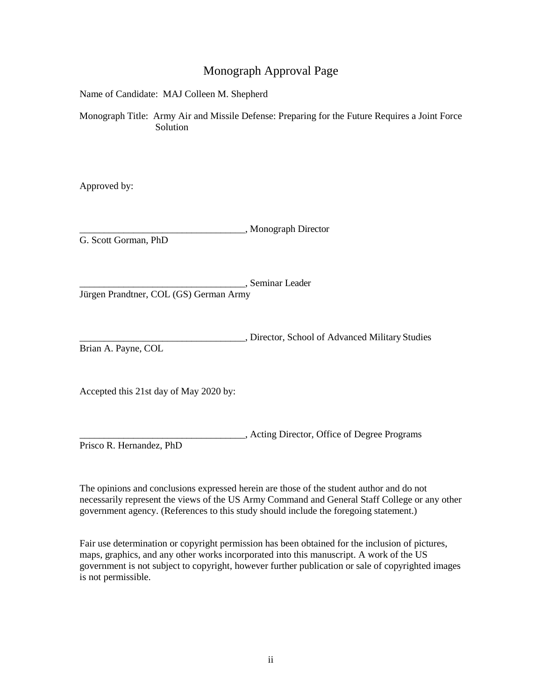# Monograph Approval Page

Name of Candidate: MAJ Colleen M. Shepherd

Monograph Title: Army Air and Missile Defense: Preparing for the Future Requires a Joint Force Solution

Approved by:

\_\_\_\_\_\_\_\_\_\_\_\_\_\_\_\_\_\_\_\_\_\_\_\_\_\_\_\_\_\_\_\_\_\_, Monograph Director G. Scott Gorman, PhD

\_\_\_\_\_\_\_\_\_\_\_\_\_\_\_\_\_\_\_\_\_\_\_\_\_\_\_\_\_\_\_\_\_\_, Seminar Leader Jürgen Prandtner, COL (GS) German Army

\_\_\_\_\_\_\_\_\_\_\_\_\_\_\_\_\_\_\_\_\_\_\_\_\_\_\_\_\_\_\_\_\_\_, Director, School of Advanced Military Studies Brian A. Payne, COL

Accepted this 21st day of May 2020 by:

\_\_\_\_\_\_\_\_\_\_\_\_\_\_\_\_\_\_\_\_\_\_\_\_\_\_\_\_\_\_\_\_\_\_, Acting Director, Office of Degree Programs Prisco R. Hernandez, PhD

The opinions and conclusions expressed herein are those of the student author and do not necessarily represent the views of the US Army Command and General Staff College or any other government agency. (References to this study should include the foregoing statement.)

Fair use determination or copyright permission has been obtained for the inclusion of pictures, maps, graphics, and any other works incorporated into this manuscript. A work of the US government is not subject to copyright, however further publication or sale of copyrighted images is not permissible.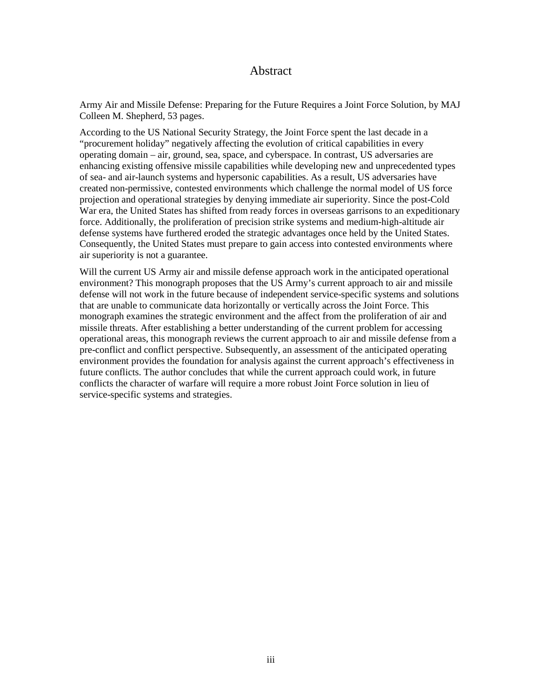# Abstract

Army Air and Missile Defense: Preparing for the Future Requires a Joint Force Solution, by MAJ Colleen M. Shepherd, 53 pages.

According to the US National Security Strategy, the Joint Force spent the last decade in a "procurement holiday" negatively affecting the evolution of critical capabilities in every operating domain – air, ground, sea, space, and cyberspace. In contrast, US adversaries are enhancing existing offensive missile capabilities while developing new and unprecedented types of sea- and air-launch systems and hypersonic capabilities. As a result, US adversaries have created non-permissive, contested environments which challenge the normal model of US force projection and operational strategies by denying immediate air superiority. Since the post-Cold War era, the United States has shifted from ready forces in overseas garrisons to an expeditionary force. Additionally, the proliferation of precision strike systems and medium-high-altitude air defense systems have furthered eroded the strategic advantages once held by the United States. Consequently, the United States must prepare to gain access into contested environments where air superiority is not a guarantee.

Will the current US Army air and missile defense approach work in the anticipated operational environment? This monograph proposes that the US Army's current approach to air and missile defense will not work in the future because of independent service-specific systems and solutions that are unable to communicate data horizontally or vertically across the Joint Force. This monograph examines the strategic environment and the affect from the proliferation of air and missile threats. After establishing a better understanding of the current problem for accessing operational areas, this monograph reviews the current approach to air and missile defense from a pre-conflict and conflict perspective. Subsequently, an assessment of the anticipated operating environment provides the foundation for analysis against the current approach's effectiveness in future conflicts. The author concludes that while the current approach could work, in future conflicts the character of warfare will require a more robust Joint Force solution in lieu of service-specific systems and strategies.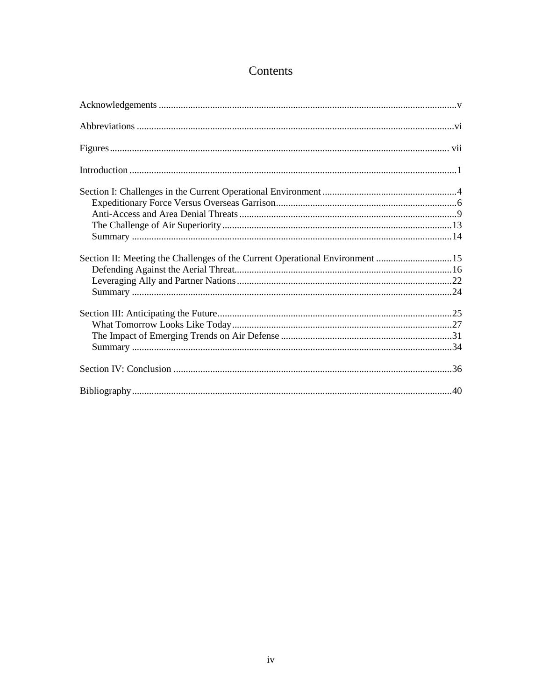# Contents

| Section II: Meeting the Challenges of the Current Operational Environment 15 |  |
|------------------------------------------------------------------------------|--|
|                                                                              |  |
|                                                                              |  |
|                                                                              |  |
|                                                                              |  |
|                                                                              |  |
|                                                                              |  |
|                                                                              |  |
|                                                                              |  |
|                                                                              |  |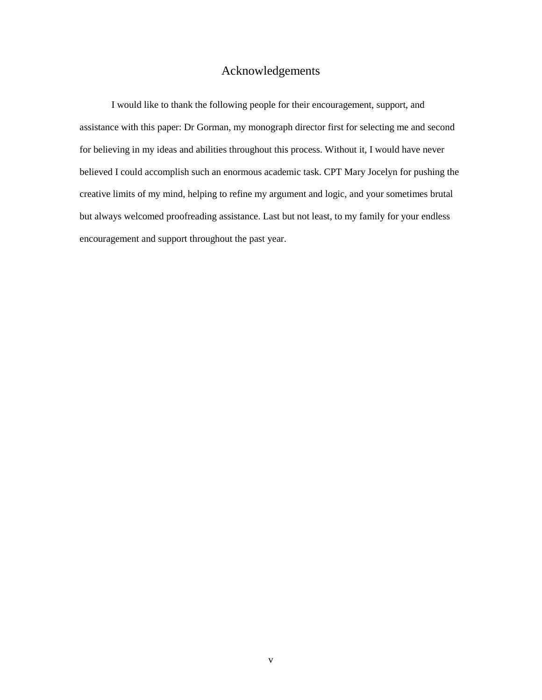# Acknowledgements

<span id="page-5-0"></span>I would like to thank the following people for their encouragement, support, and assistance with this paper: Dr Gorman, my monograph director first for selecting me and second for believing in my ideas and abilities throughout this process. Without it, I would have never believed I could accomplish such an enormous academic task. CPT Mary Jocelyn for pushing the creative limits of my mind, helping to refine my argument and logic, and your sometimes brutal but always welcomed proofreading assistance. Last but not least, to my family for your endless encouragement and support throughout the past year.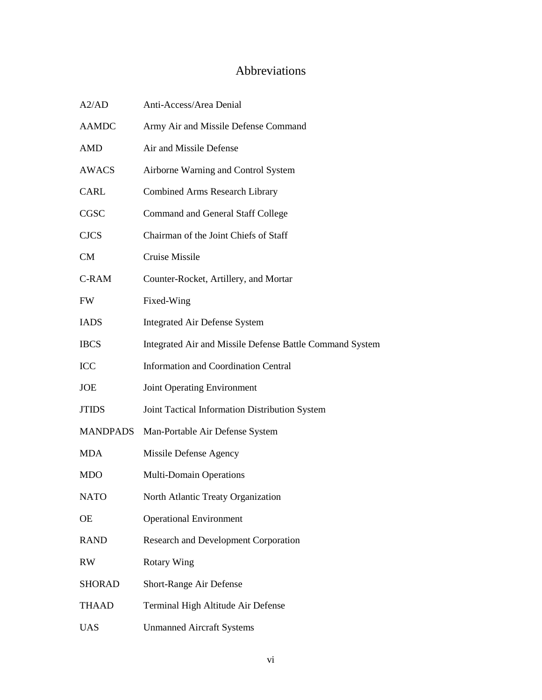# Abbreviations

<span id="page-6-0"></span>

| A2/AD           | Anti-Access/Area Denial                                  |
|-----------------|----------------------------------------------------------|
| <b>AAMDC</b>    | Army Air and Missile Defense Command                     |
| <b>AMD</b>      | Air and Missile Defense                                  |
| AWACS           | Airborne Warning and Control System                      |
| CARL            | <b>Combined Arms Research Library</b>                    |
| CGSC            | <b>Command and General Staff College</b>                 |
| <b>CJCS</b>     | Chairman of the Joint Chiefs of Staff                    |
| <b>CM</b>       | Cruise Missile                                           |
| C-RAM           | Counter-Rocket, Artillery, and Mortar                    |
| <b>FW</b>       | Fixed-Wing                                               |
| <b>IADS</b>     | <b>Integrated Air Defense System</b>                     |
| <b>IBCS</b>     | Integrated Air and Missile Defense Battle Command System |
| ICC             | <b>Information and Coordination Central</b>              |
| <b>JOE</b>      | <b>Joint Operating Environment</b>                       |
| <b>JTIDS</b>    | Joint Tactical Information Distribution System           |
| <b>MANDPADS</b> | Man-Portable Air Defense System                          |
| <b>MDA</b>      | Missile Defense Agency                                   |
| <b>MDO</b>      | <b>Multi-Domain Operations</b>                           |
| <b>NATO</b>     | North Atlantic Treaty Organization                       |
| <b>OE</b>       | <b>Operational Environment</b>                           |
| <b>RAND</b>     | <b>Research and Development Corporation</b>              |
| RW              | <b>Rotary Wing</b>                                       |
| <b>SHORAD</b>   | Short-Range Air Defense                                  |
| <b>THAAD</b>    | Terminal High Altitude Air Defense                       |
| <b>UAS</b>      | <b>Unmanned Aircraft Systems</b>                         |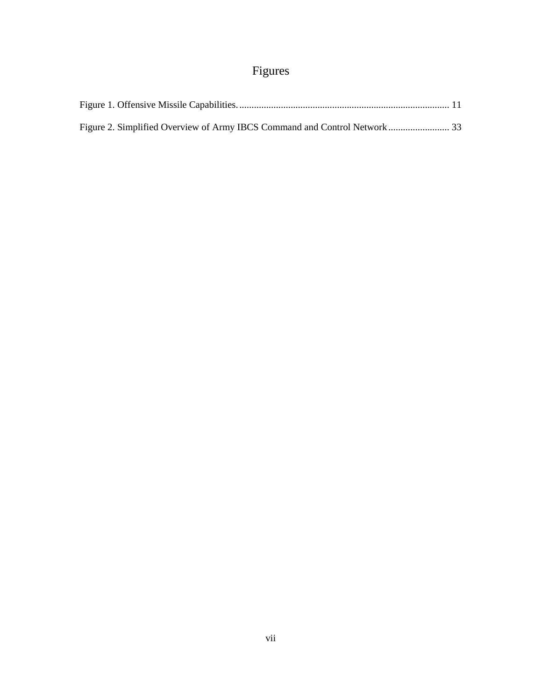# Figures

<span id="page-7-0"></span>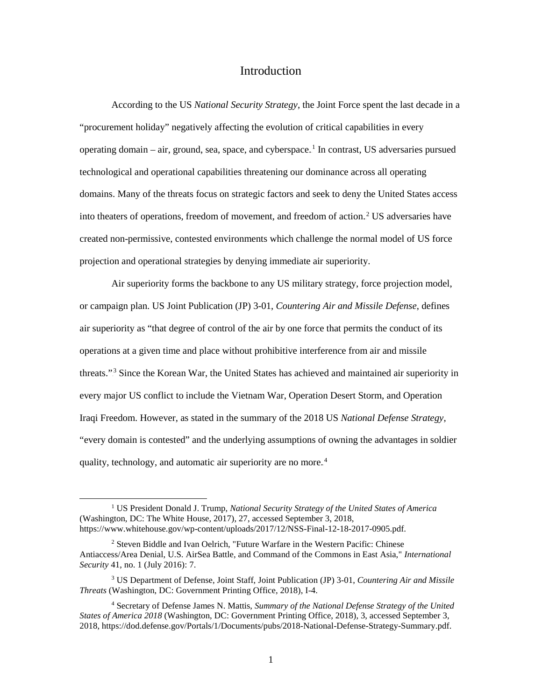## Introduction

<span id="page-8-0"></span>According to the US *National Security Strategy*, the Joint Force spent the last decade in a "procurement holiday" negatively affecting the evolution of critical capabilities in every operating domain – air, ground, sea, space, and cyberspace.<sup>1</sup> In contrast, US adversaries pursued technological and operational capabilities threatening our dominance across all operating domains. Many of the threats focus on strategic factors and seek to deny the United States access into theaters of operations, freedom of movement, and freedom of action.<sup>2</sup> US adversaries have created non-permissive, contested environments which challenge the normal model of US force projection and operational strategies by denying immediate air superiority.

Air superiority forms the backbone to any US military strategy, force projection model, or campaign plan. US Joint Publication (JP) 3-01, *Countering Air and Missile Defense*, defines air superiority as "that degree of control of the air by one force that permits the conduct of its operations at a given time and place without prohibitive interference from air and missile threats."<sup>3</sup> Since the Korean War, the United States has achieved and maintained air superiority in every major US conflict to include the Vietnam War, Operation Desert Storm, and Operation Iraqi Freedom. However, as stated in the summary of the 2018 US *National Defense Strategy*, "every domain is contested" and the underlying assumptions of owning the advantages in soldier quality, technology, and automatic air superiority are no more.<sup>4</sup>

 <sup>1</sup> US President Donald J. Trump, *National Security Strategy of the United States of America* (Washington, DC: The White House, 2017), 27, accessed September 3, 2018, https://www.whitehouse.gov/wp-content/uploads/2017/12/NSS-Final-12-18-2017-0905.pdf.

<sup>2</sup> Steven Biddle and Ivan Oelrich, "Future Warfare in the Western Pacific: Chinese Antiaccess/Area Denial, U.S. AirSea Battle, and Command of the Commons in East Asia," *International Security* 41, no. 1 (July 2016): 7.

<sup>3</sup> US Department of Defense, Joint Staff, Joint Publication (JP) 3-01, *Countering Air and Missile Threats* (Washington, DC: Government Printing Office, 2018), I-4.

<sup>4</sup> Secretary of Defense James N. Mattis, *Summary of the National Defense Strategy of the United States of America 2018* (Washington, DC: Government Printing Office, 2018), 3, accessed September 3, 2018, https://dod.defense.gov/Portals/1/Documents/pubs/2018-National-Defense-Strategy-Summary.pdf.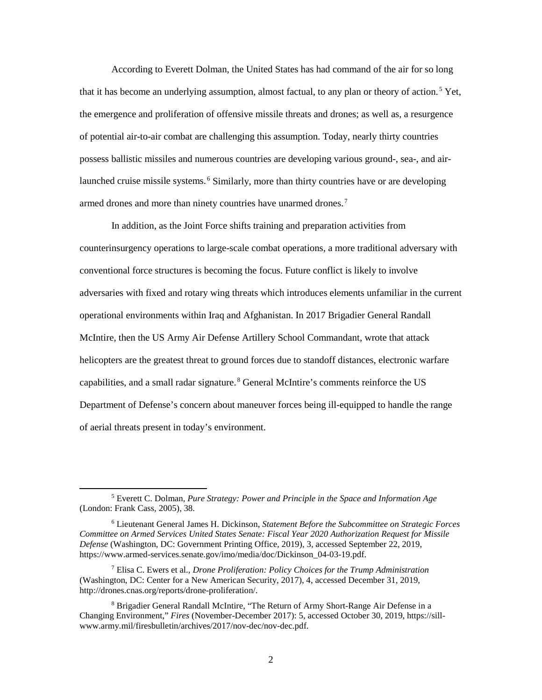According to Everett Dolman, the United States has had command of the air for so long that it has become an underlying assumption, almost factual, to any plan or theory of action.<sup>5</sup> Yet, the emergence and proliferation of offensive missile threats and drones; as well as, a resurgence of potential air-to-air combat are challenging this assumption. Today, nearly thirty countries possess ballistic missiles and numerous countries are developing various ground-, sea-, and airlaunched cruise missile systems.<sup>6</sup> Similarly, more than thirty countries have or are developing armed drones and more than ninety countries have unarmed drones.<sup>7</sup>

In addition, as the Joint Force shifts training and preparation activities from counterinsurgency operations to large-scale combat operations, a more traditional adversary with conventional force structures is becoming the focus. Future conflict is likely to involve adversaries with fixed and rotary wing threats which introduces elements unfamiliar in the current operational environments within Iraq and Afghanistan. In 2017 Brigadier General Randall McIntire, then the US Army Air Defense Artillery School Commandant, wrote that attack helicopters are the greatest threat to ground forces due to standoff distances, electronic warfare capabilities, and a small radar signature.<sup>8</sup> General McIntire's comments reinforce the US Department of Defense's concern about maneuver forces being ill-equipped to handle the range of aerial threats present in today's environment.

 <sup>5</sup> Everett C. Dolman, *Pure Strategy: Power and Principle in the Space and Information Age* (London: Frank Cass, 2005), 38.

<sup>6</sup> Lieutenant General James H. Dickinson, *Statement Before the Subcommittee on Strategic Forces Committee on Armed Services United States Senate: Fiscal Year 2020 Authorization Request for Missile Defense* (Washington, DC: Government Printing Office, 2019), 3, accessed September 22, 2019, https://www.armed-services.senate.gov/imo/media/doc/Dickinson\_04-03-19.pdf.

<sup>7</sup> Elisa C. Ewers et al., *Drone Proliferation: Policy Choices for the Trump Administration* (Washington, DC: Center for a New American Security, 2017), 4, accessed December 31, 2019, http://drones.cnas.org/reports/drone-proliferation/.

<sup>8</sup> Brigadier General Randall McIntire, "The Return of Army Short-Range Air Defense in a Changing Environment," *Fires* (November-December 2017): 5, accessed October 30, 2019, https://sillwww.army.mil/firesbulletin/archives/2017/nov-dec/nov-dec.pdf.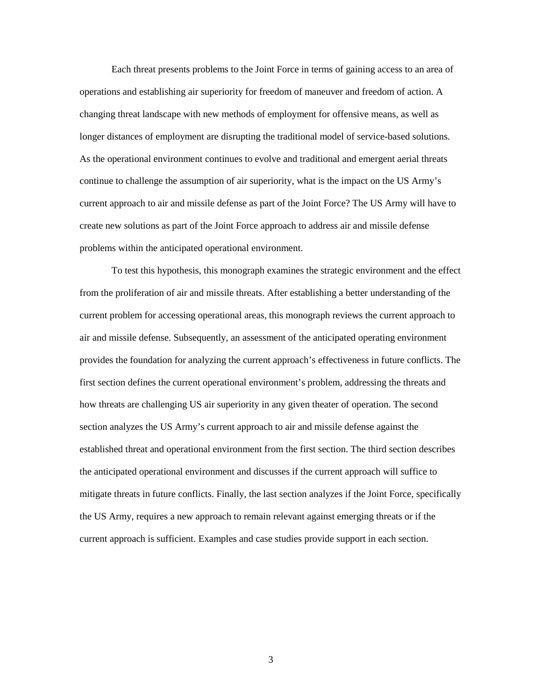Each threat presents problems to the Joint Force in terms of gaining access to an area of operations and establishing air superiority for freedom of maneuver and freedom of action. A changing threat landscape with new methods of employment for offensive means, as well as longer distances of employment are disrupting the traditional model of service-based solutions. As the operational environment continues to evolve and traditional and emergent aerial threats continue to challenge the assumption of air superiority, what is the impact on the US Army's current approach to air and missile defense as part of the Joint Force? The US Army will have to create new solutions as part of the Joint Force approach to address air and missile defense problems within the anticipated operational environment.

To test this hypothesis, this monograph examines the strategic environment and the effect from the proliferation of air and missile threats. After establishing a better understanding of the current problem for accessing operational areas, this monograph reviews the current approach to air and missile defense. Subsequently, an assessment of the anticipated operating environment provides the foundation for analyzing the current approach's effectiveness in future conflicts. The first section defines the current operational environment's problem, addressing the threats and how threats are challenging US air superiority in any given theater of operation. The second section analyzes the US Army's current approach to air and missile defense against the established threat and operational environment from the first section. The third section describes the anticipated operational environment and discusses if the current approach will suffice to mitigate threats in future conflicts. Finally, the last section analyzes if the Joint Force, specifically the US Army, requires a new approach to remain relevant against emerging threats or if the current approach is sufficient. Examples and case studies provide support in each section.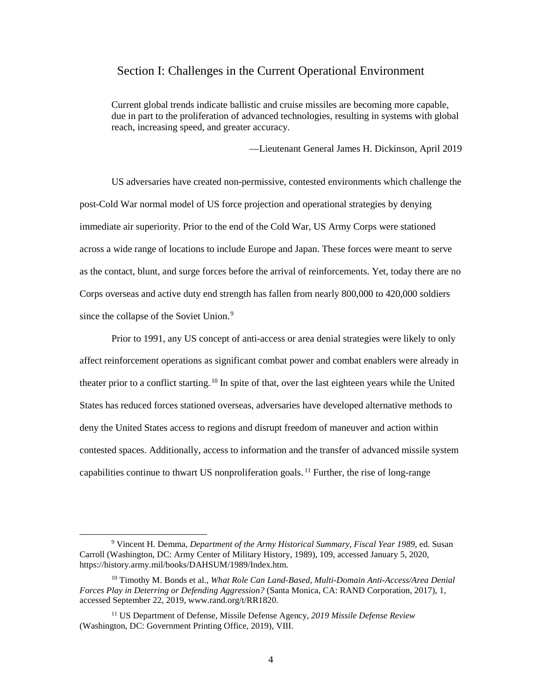#### <span id="page-11-0"></span>Section I: Challenges in the Current Operational Environment

Current global trends indicate ballistic and cruise missiles are becoming more capable, due in part to the proliferation of advanced technologies, resulting in systems with global reach, increasing speed, and greater accuracy.

—Lieutenant General James H. Dickinson, April 2019

US adversaries have created non-permissive, contested environments which challenge the post-Cold War normal model of US force projection and operational strategies by denying immediate air superiority. Prior to the end of the Cold War, US Army Corps were stationed across a wide range of locations to include Europe and Japan. These forces were meant to serve as the contact, blunt, and surge forces before the arrival of reinforcements. Yet, today there are no Corps overseas and active duty end strength has fallen from nearly 800,000 to 420,000 soldiers since the collapse of the Soviet Union.<sup>9</sup>

Prior to 1991, any US concept of anti-access or area denial strategies were likely to only affect reinforcement operations as significant combat power and combat enablers were already in theater prior to a conflict starting.<sup>10</sup> In spite of that, over the last eighteen years while the United States has reduced forces stationed overseas, adversaries have developed alternative methods to deny the United States access to regions and disrupt freedom of maneuver and action within contested spaces. Additionally, access to information and the transfer of advanced missile system capabilities continue to thwart US nonproliferation goals.<sup>11</sup> Further, the rise of long-range

 <sup>9</sup> Vincent H. Demma, *Department of the Army Historical Summary, Fiscal Year 1989*, ed. Susan Carroll (Washington, DC: Army Center of Military History, 1989), 109, accessed January 5, 2020, https://history.army.mil/books/DAHSUM/1989/Index.htm.

<sup>10</sup> Timothy M. Bonds et al., *What Role Can Land-Based, Multi-Domain Anti-Access/Area Denial Forces Play in Deterring or Defending Aggression?* (Santa Monica, CA: RAND Corporation, 2017), 1, accessed September 22, 2019, www.rand.org/t/RR1820.

<sup>11</sup> US Department of Defense, Missile Defense Agency, *2019 Missile Defense Review* (Washington, DC: Government Printing Office, 2019), VIII.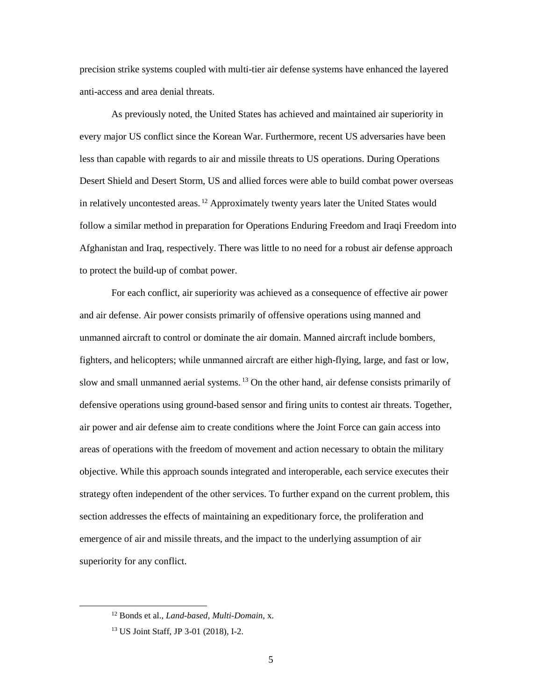precision strike systems coupled with multi-tier air defense systems have enhanced the layered anti-access and area denial threats.

As previously noted, the United States has achieved and maintained air superiority in every major US conflict since the Korean War. Furthermore, recent US adversaries have been less than capable with regards to air and missile threats to US operations. During Operations Desert Shield and Desert Storm, US and allied forces were able to build combat power overseas in relatively uncontested areas.<sup>12</sup> Approximately twenty years later the United States would follow a similar method in preparation for Operations Enduring Freedom and Iraqi Freedom into Afghanistan and Iraq, respectively. There was little to no need for a robust air defense approach to protect the build-up of combat power.

For each conflict, air superiority was achieved as a consequence of effective air power and air defense. Air power consists primarily of offensive operations using manned and unmanned aircraft to control or dominate the air domain. Manned aircraft include bombers, fighters, and helicopters; while unmanned aircraft are either high-flying, large, and fast or low, slow and small unmanned aerial systems.<sup>13</sup> On the other hand, air defense consists primarily of defensive operations using ground-based sensor and firing units to contest air threats. Together, air power and air defense aim to create conditions where the Joint Force can gain access into areas of operations with the freedom of movement and action necessary to obtain the military objective. While this approach sounds integrated and interoperable, each service executes their strategy often independent of the other services. To further expand on the current problem, this section addresses the effects of maintaining an expeditionary force, the proliferation and emergence of air and missile threats, and the impact to the underlying assumption of air superiority for any conflict.

 <sup>12</sup> Bonds et al., *Land-based, Multi-Domain*, x.

<sup>13</sup> US Joint Staff, JP 3-01 (2018), I-2.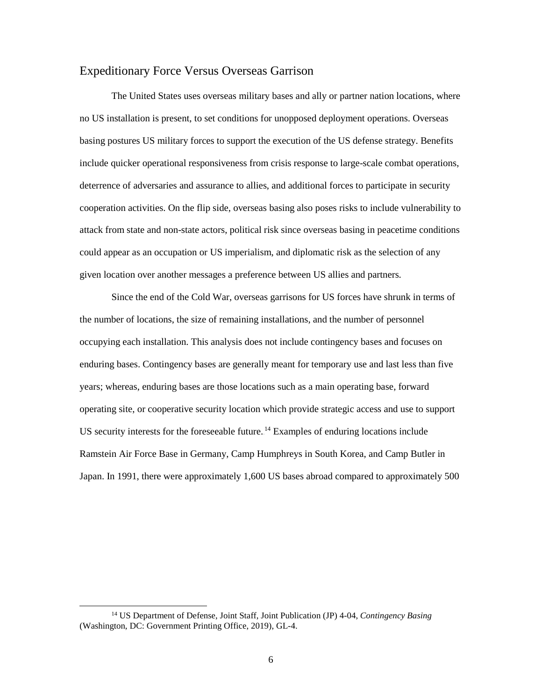#### <span id="page-13-0"></span>Expeditionary Force Versus Overseas Garrison

The United States uses overseas military bases and ally or partner nation locations, where no US installation is present, to set conditions for unopposed deployment operations. Overseas basing postures US military forces to support the execution of the US defense strategy. Benefits include quicker operational responsiveness from crisis response to large-scale combat operations, deterrence of adversaries and assurance to allies, and additional forces to participate in security cooperation activities. On the flip side, overseas basing also poses risks to include vulnerability to attack from state and non-state actors, political risk since overseas basing in peacetime conditions could appear as an occupation or US imperialism, and diplomatic risk as the selection of any given location over another messages a preference between US allies and partners.

Since the end of the Cold War, overseas garrisons for US forces have shrunk in terms of the number of locations, the size of remaining installations, and the number of personnel occupying each installation. This analysis does not include contingency bases and focuses on enduring bases. Contingency bases are generally meant for temporary use and last less than five years; whereas, enduring bases are those locations such as a main operating base, forward operating site, or cooperative security location which provide strategic access and use to support US security interests for the foreseeable future.<sup>14</sup> Examples of enduring locations include Ramstein Air Force Base in Germany, Camp Humphreys in South Korea, and Camp Butler in Japan. In 1991, there were approximately 1,600 US bases abroad compared to approximately 500

 <sup>14</sup> US Department of Defense, Joint Staff, Joint Publication (JP) 4-04, *Contingency Basing* (Washington, DC: Government Printing Office, 2019), GL-4.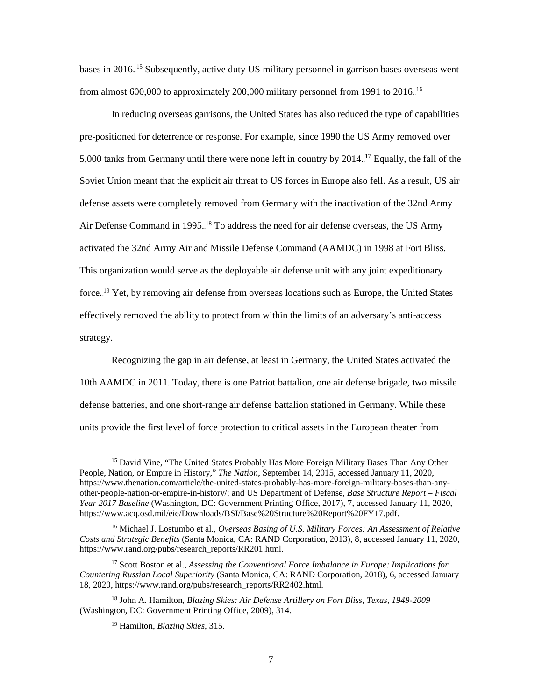bases in 2016.<sup>15</sup> Subsequently, active duty US military personnel in garrison bases overseas went from almost 600,000 to approximately 200,000 military personnel from 1991 to 2016.<sup>16</sup>

In reducing overseas garrisons, the United States has also reduced the type of capabilities pre-positioned for deterrence or response. For example, since 1990 the US Army removed over 5,000 tanks from Germany until there were none left in country by 2014.<sup>17</sup> Equally, the fall of the Soviet Union meant that the explicit air threat to US forces in Europe also fell. As a result, US air defense assets were completely removed from Germany with the inactivation of the 32nd Army Air Defense Command in 1995.<sup>18</sup> To address the need for air defense overseas, the US Army activated the 32nd Army Air and Missile Defense Command (AAMDC) in 1998 at Fort Bliss. This organization would serve as the deployable air defense unit with any joint expeditionary force.<sup>19</sup> Yet, by removing air defense from overseas locations such as Europe, the United States effectively removed the ability to protect from within the limits of an adversary's anti-access strategy.

Recognizing the gap in air defense, at least in Germany, the United States activated the 10th AAMDC in 2011. Today, there is one Patriot battalion, one air defense brigade, two missile defense batteries, and one short-range air defense battalion stationed in Germany. While these units provide the first level of force protection to critical assets in the European theater from

<sup>&</sup>lt;sup>15</sup> David Vine, "The United States Probably Has More Foreign Military Bases Than Any Other People, Nation, or Empire in History," *The Nation*, September 14, 2015, accessed January 11, 2020, https://www.thenation.com/article/the-united-states-probably-has-more-foreign-military-bases-than-anyother-people-nation-or-empire-in-history/; and US Department of Defense, *Base Structure Report – Fiscal Year 2017 Baseline* (Washington, DC: Government Printing Office, 2017), 7, accessed January 11, 2020, https://www.acq.osd.mil/eie/Downloads/BSI/Base%20Structure%20Report%20FY17.pdf.

<sup>16</sup> Michael J. Lostumbo et al., *Overseas Basing of U.S. Military Forces: An Assessment of Relative Costs and Strategic Benefits* (Santa Monica, CA: RAND Corporation, 2013), 8, accessed January 11, 2020, https://www.rand.org/pubs/research\_reports/RR201.html.

<sup>17</sup> Scott Boston et al., *Assessing the Conventional Force Imbalance in Europe: Implications for Countering Russian Local Superiority* (Santa Monica, CA: RAND Corporation, 2018), 6, accessed January 18, 2020, https://www.rand.org/pubs/research\_reports/RR2402.html.

<sup>18</sup> John A. Hamilton, *Blazing Skies: Air Defense Artillery on Fort Bliss, Texas, 1949-2009* (Washington, DC: Government Printing Office, 2009), 314.

<sup>19</sup> Hamilton, *Blazing Skies*, 315.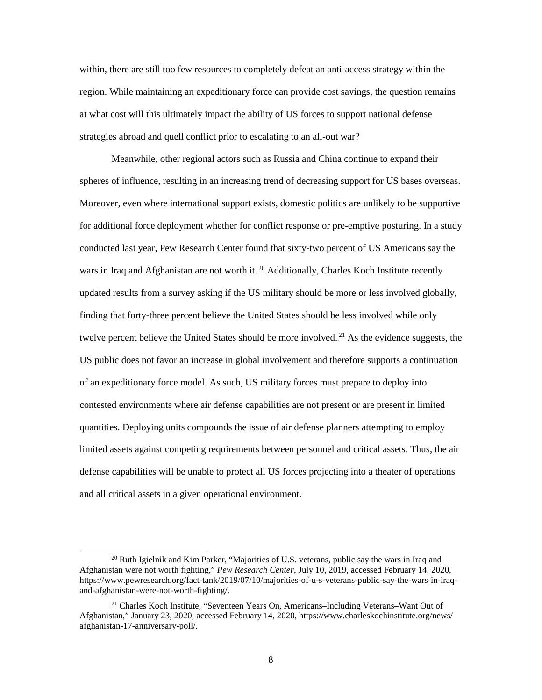within, there are still too few resources to completely defeat an anti-access strategy within the region. While maintaining an expeditionary force can provide cost savings, the question remains at what cost will this ultimately impact the ability of US forces to support national defense strategies abroad and quell conflict prior to escalating to an all-out war?

Meanwhile, other regional actors such as Russia and China continue to expand their spheres of influence, resulting in an increasing trend of decreasing support for US bases overseas. Moreover, even where international support exists, domestic politics are unlikely to be supportive for additional force deployment whether for conflict response or pre-emptive posturing. In a study conducted last year, Pew Research Center found that sixty-two percent of US Americans say the wars in Iraq and Afghanistan are not worth it.<sup>20</sup> Additionally, Charles Koch Institute recently updated results from a survey asking if the US military should be more or less involved globally, finding that forty-three percent believe the United States should be less involved while only twelve percent believe the United States should be more involved.<sup>21</sup> As the evidence suggests, the US public does not favor an increase in global involvement and therefore supports a continuation of an expeditionary force model. As such, US military forces must prepare to deploy into contested environments where air defense capabilities are not present or are present in limited quantities. Deploying units compounds the issue of air defense planners attempting to employ limited assets against competing requirements between personnel and critical assets. Thus, the air defense capabilities will be unable to protect all US forces projecting into a theater of operations and all critical assets in a given operational environment.

<span id="page-15-0"></span> $20$  Ruth Igielnik and Kim Parker, "Majorities of U.S. veterans, public say the wars in Iraq and Afghanistan were not worth fighting," *Pew Research Center*, July 10, 2019, accessed February 14, 2020, https://www.pewresearch.org/fact-tank/2019/07/10/majorities-of-u-s-veterans-public-say-the-wars-in-iraqand-afghanistan-were-not-worth-fighting/.

<sup>21</sup> Charles Koch Institute, "Seventeen Years On, Americans–Including Veterans–Want Out of Afghanistan," January 23, 2020, accessed February 14, 2020, https://www.charleskochinstitute.org/news/ afghanistan-17-anniversary-poll/.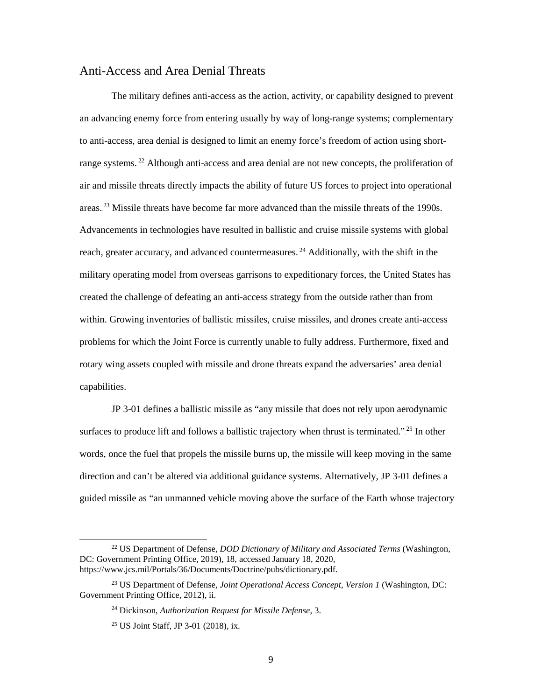#### Anti-Access and Area Denial Threats

The military defines anti-access as the action, activity, or capability designed to prevent an advancing enemy force from entering usually by way of long-range systems; complementary to anti-access, area denial is designed to limit an enemy force's freedom of action using shortrange systems.<sup>22</sup> Although anti-access and area denial are not new concepts, the proliferation of air and missile threats directly impacts the ability of future US forces to project into operational areas.<sup>23</sup> Missile threats have become far more advanced than the missile threats of the 1990s. Advancements in technologies have resulted in ballistic and cruise missile systems with global reach, greater accuracy, and advanced countermeasures.<sup>24</sup> Additionally, with the shift in the military operating model from overseas garrisons to expeditionary forces, the United States has created the challenge of defeating an anti-access strategy from the outside rather than from within. Growing inventories of ballistic missiles, cruise missiles, and drones create anti-access problems for which the Joint Force is currently unable to fully address. Furthermore, fixed and rotary wing assets coupled with missile and drone threats expand the adversaries' area denial capabilities.

JP 3-01 defines a ballistic missile as "any missile that does not rely upon aerodynamic surfaces to produce lift and follows a ballistic trajectory when thrust is terminated." $25$  In other words, once the fuel that propels the missile burns up, the missile will keep moving in the same direction and can't be altered via additional guidance systems. Alternatively, JP 3-01 defines a guided missile as "an unmanned vehicle moving above the surface of the Earth whose trajectory

 <sup>22</sup> US Department of Defense, *DOD Dictionary of Military and Associated Terms* (Washington, DC: Government Printing Office, 2019), 18, accessed January 18, 2020, https://www.jcs.mil/Portals/36/Documents/Doctrine/pubs/dictionary.pdf.

<sup>23</sup> US Department of Defense, *Joint Operational Access Concept, Version 1* (Washington, DC: Government Printing Office, 2012), ii.

<sup>24</sup> Dickinson, *Authorization Request for Missile Defense*, 3.

<sup>25</sup> US Joint Staff, JP 3-01 (2018), ix.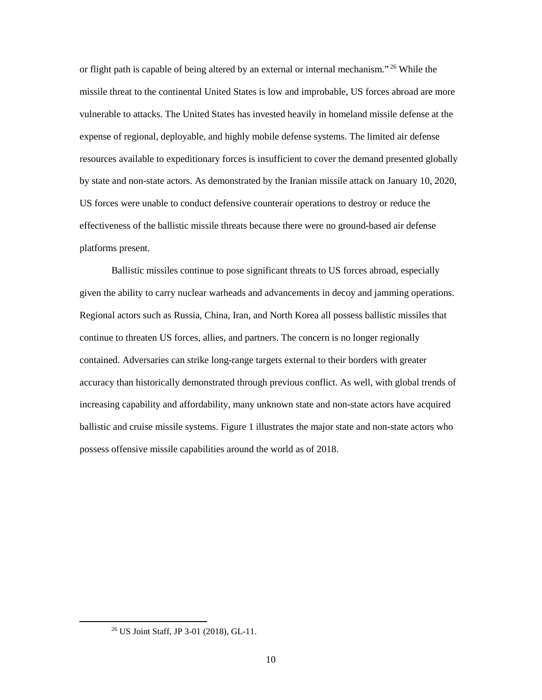or flight path is capable of being altered by an external or internal mechanism."<sup>26</sup> While the missile threat to the continental United States is low and improbable, US forces abroad are more vulnerable to attacks. The United States has invested heavily in homeland missile defense at the expense of regional, deployable, and highly mobile defense systems. The limited air defense resources available to expeditionary forces is insufficient to cover the demand presented globally by state and non-state actors. As demonstrated by the Iranian missile attack on January 10, 2020, US forces were unable to conduct defensive counterair operations to destroy or reduce the effectiveness of the ballistic missile threats because there were no ground-based air defense platforms present.

Ballistic missiles continue to pose significant threats to US forces abroad, especially given the ability to carry nuclear warheads and advancements in decoy and jamming operations. Regional actors such as Russia, China, Iran, and North Korea all possess ballistic missiles that continue to threaten US forces, allies, and partners. The concern is no longer regionally contained. Adversaries can strike long-range targets external to their borders with greater accuracy than historically demonstrated through previous conflict. As well, with global trends of increasing capability and affordability, many unknown state and non-state actors have acquired ballistic and cruise missile systems. Figure 1 illustrates the major state and non-state actors who possess offensive missile capabilities around the world as of 2018.

 <sup>26</sup> US Joint Staff, JP 3-01 (2018), GL-11.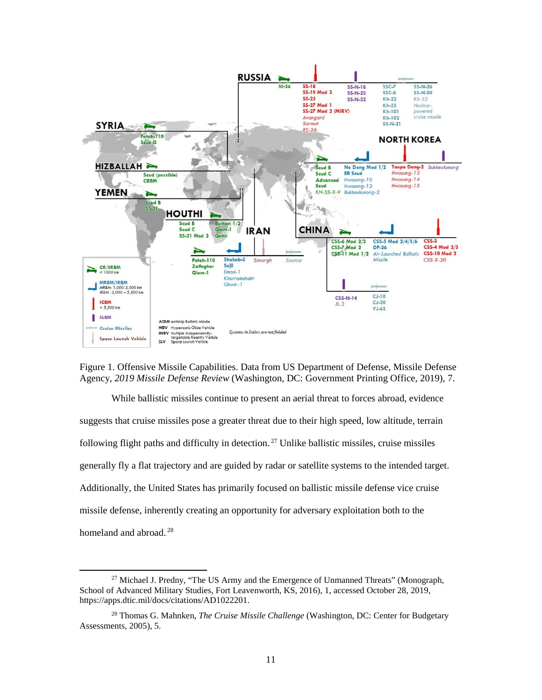

<span id="page-18-0"></span>Figure 1. Offensive Missile Capabilities. Data from US Department of Defense, Missile Defense Agency, *2019 Missile Defense Review* (Washington, DC: Government Printing Office, 2019), 7.

While ballistic missiles continue to present an aerial threat to forces abroad, evidence suggests that cruise missiles pose a greater threat due to their high speed, low altitude, terrain following flight paths and difficulty in detection.<sup>27</sup> Unlike ballistic missiles, cruise missiles generally fly a flat trajectory and are guided by radar or satellite systems to the intended target. Additionally, the United States has primarily focused on ballistic missile defense vice cruise missile defense, inherently creating an opportunity for adversary exploitation both to the homeland and abroad.<sup>28</sup>

<sup>&</sup>lt;sup>27</sup> Michael J. Predny, "The US Army and the Emergence of Unmanned Threats" (Monograph, School of Advanced Military Studies, Fort Leavenworth, KS, 2016), 1, accessed October 28, 2019, https://apps.dtic.mil/docs/citations/AD1022201.

<sup>28</sup> Thomas G. Mahnken, *The Cruise Missile Challenge* (Washington, DC: Center for Budgetary Assessments, 2005), 5.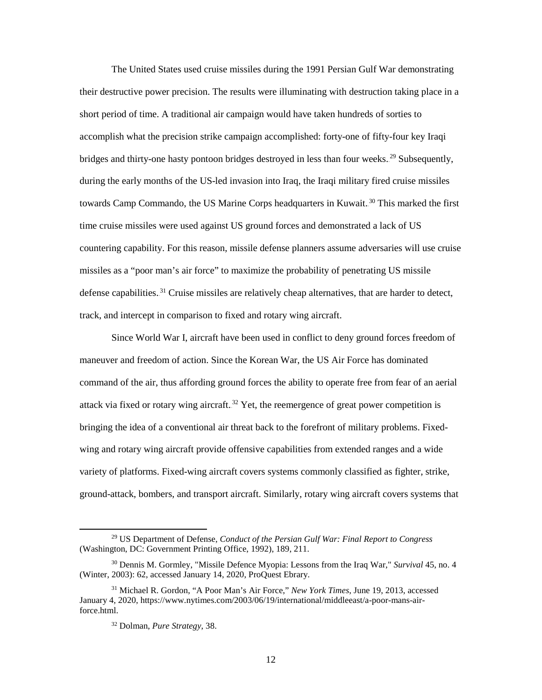The United States used cruise missiles during the 1991 Persian Gulf War demonstrating their destructive power precision. The results were illuminating with destruction taking place in a short period of time. A traditional air campaign would have taken hundreds of sorties to accomplish what the precision strike campaign accomplished: forty-one of fifty-four key Iraqi bridges and thirty-one hasty pontoon bridges destroyed in less than four weeks.<sup>29</sup> Subsequently, during the early months of the US-led invasion into Iraq, the Iraqi military fired cruise missiles towards Camp Commando, the US Marine Corps headquarters in Kuwait.<sup>30</sup> This marked the first time cruise missiles were used against US ground forces and demonstrated a lack of US countering capability. For this reason, missile defense planners assume adversaries will use cruise missiles as a "poor man's air force" to maximize the probability of penetrating US missile defense capabilities.<sup>31</sup> Cruise missiles are relatively cheap alternatives, that are harder to detect, track, and intercept in comparison to fixed and rotary wing aircraft.

 Since World War I, aircraft have been used in conflict to deny ground forces freedom of maneuver and freedom of action. Since the Korean War, the US Air Force has dominated command of the air, thus affording ground forces the ability to operate free from fear of an aerial attack via fixed or rotary wing aircraft.<sup>32</sup> Yet, the reemergence of great power competition is bringing the idea of a conventional air threat back to the forefront of military problems. Fixedwing and rotary wing aircraft provide offensive capabilities from extended ranges and a wide variety of platforms. Fixed-wing aircraft covers systems commonly classified as fighter, strike, ground-attack, bombers, and transport aircraft. Similarly, rotary wing aircraft covers systems that

 <sup>29</sup> US Department of Defense, *Conduct of the Persian Gulf War: Final Report to Congress* (Washington, DC: Government Printing Office, 1992), 189, 211.

<sup>30</sup> Dennis M. Gormley, "Missile Defence Myopia: Lessons from the Iraq War," *Survival* 45, no. 4 (Winter, 2003): 62, accessed January 14, 2020, ProQuest Ebrary.

<sup>31</sup> Michael R. Gordon, "A Poor Man's Air Force," *New York Times*, June 19, 2013, accessed January 4, 2020, [https://www.nytimes.com/2003/06/19/international/middleeast/a-poor-mans-air](https://www.nytimes.com/2003/06/19/international/middleeast/a-poor-mans-air-force.html)[force.html.](https://www.nytimes.com/2003/06/19/international/middleeast/a-poor-mans-air-force.html) 

<sup>32</sup> Dolman, *Pure Strategy*, 38.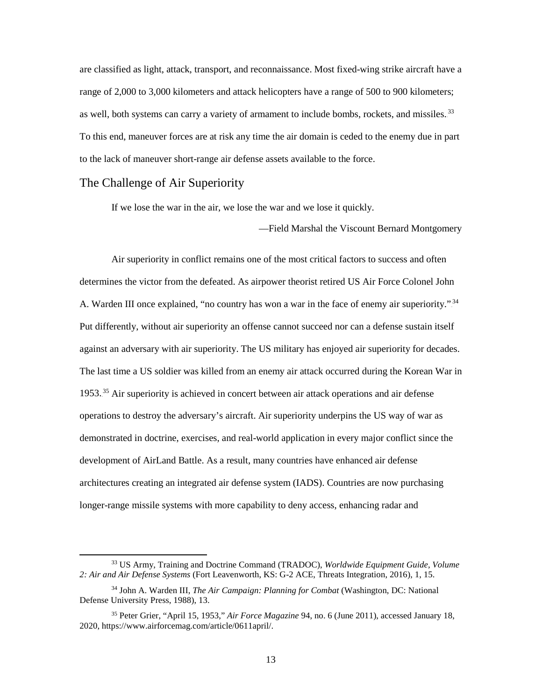are classified as light, attack, transport, and reconnaissance. Most fixed-wing strike aircraft have a range of 2,000 to 3,000 kilometers and attack helicopters have a range of 500 to 900 kilometers; as well, both systems can carry a variety of armament to include bombs, rockets, and missiles.<sup>33</sup> To this end, maneuver forces are at risk any time the air domain is ceded to the enemy due in part to the lack of maneuver short-range air defense assets available to the force.

#### <span id="page-20-0"></span>The Challenge of Air Superiority

If we lose the war in the air, we lose the war and we lose it quickly.

—Field Marshal the Viscount Bernard Montgomery

Air superiority in conflict remains one of the most critical factors to success and often determines the victor from the defeated. As airpower theorist retired US Air Force Colonel John A. Warden III once explained, "no country has won a war in the face of enemy air superiority."<sup>34</sup> Put differently, without air superiority an offense cannot succeed nor can a defense sustain itself against an adversary with air superiority. The US military has enjoyed air superiority for decades. The last time a US soldier was killed from an enemy air attack occurred during the Korean War in 1953.<sup>35</sup> Air superiority is achieved in concert between air attack operations and air defense operations to destroy the adversary's aircraft. Air superiority underpins the US way of war as demonstrated in doctrine, exercises, and real-world application in every major conflict since the development of AirLand Battle. As a result, many countries have enhanced air defense architectures creating an integrated air defense system (IADS). Countries are now purchasing longer-range missile systems with more capability to deny access, enhancing radar and

 <sup>33</sup> US Army, Training and Doctrine Command (TRADOC), *Worldwide Equipment Guide, Volume 2: Air and Air Defense Systems* (Fort Leavenworth, KS: G-2 ACE, Threats Integration, 2016), 1, 15.

<sup>34</sup> John A. Warden III, *The Air Campaign: Planning for Combat* (Washington, DC: National Defense University Press, 1988), 13.

<sup>35</sup> Peter Grier, "April 15, 1953," *Air Force Magazine* 94, no. 6 (June 2011), accessed January 18, 2020, https://www.airforcemag.com/article/0611april/.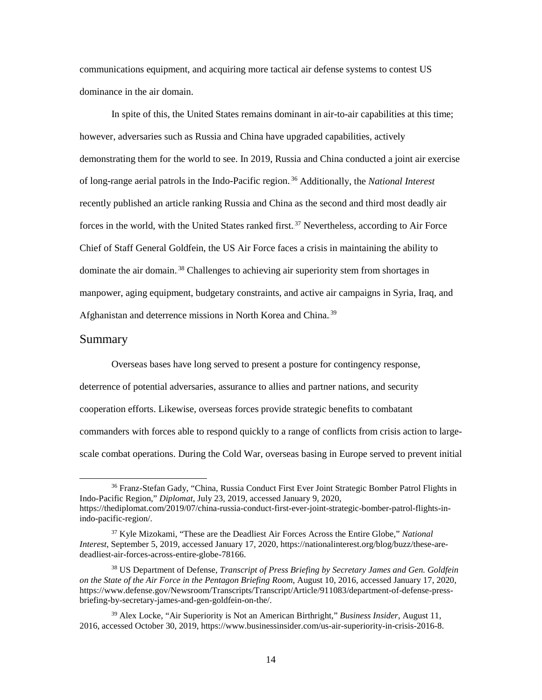communications equipment, and acquiring more tactical air defense systems to contest US dominance in the air domain.

In spite of this, the United States remains dominant in air-to-air capabilities at this time; however, adversaries such as Russia and China have upgraded capabilities, actively demonstrating them for the world to see. In 2019, Russia and China conducted a joint air exercise of long-range aerial patrols in the Indo-Pacific region.<sup>36</sup> Additionally, the *National Interest* recently published an article ranking Russia and China as the second and third most deadly air forces in the world, with the United States ranked first.<sup>37</sup> Nevertheless, according to Air Force Chief of Staff General Goldfein, the US Air Force faces a crisis in maintaining the ability to dominate the air domain.<sup>38</sup> Challenges to achieving air superiority stem from shortages in manpower, aging equipment, budgetary constraints, and active air campaigns in Syria, Iraq, and Afghanistan and deterrence missions in North Korea and China.<sup>39</sup>

#### <span id="page-21-0"></span>Summary

Overseas bases have long served to present a posture for contingency response, deterrence of potential adversaries, assurance to allies and partner nations, and security cooperation efforts. Likewise, overseas forces provide strategic benefits to combatant commanders with forces able to respond quickly to a range of conflicts from crisis action to largescale combat operations. During the Cold War, overseas basing in Europe served to prevent initial

<sup>&</sup>lt;sup>36</sup> Franz-Stefan Gady, "China, Russia Conduct First Ever Joint Strategic Bomber Patrol Flights in Indo-Pacific Region," *Diplomat*, July 23, 2019, accessed January 9, 2020, https://thediplomat.com/2019/07/china-russia-conduct-first-ever-joint-strategic-bomber-patrol-flights-inindo-pacific-region/.

<sup>37</sup> Kyle Mizokami, "These are the Deadliest Air Forces Across the Entire Globe," *National Interest*, September 5, 2019, accessed January 17, 2020, https://nationalinterest.org/blog/buzz/these-aredeadliest-air-forces-across-entire-globe-78166.

<sup>38</sup> US Department of Defense, *Transcript of Press Briefing by Secretary James and Gen. Goldfein on the State of the Air Force in the Pentagon Briefing Room*, August 10, 2016, accessed January 17, 2020, https://www.defense.gov/Newsroom/Transcripts/Transcript/Article/911083/department-of-defense-pressbriefing-by-secretary-james-and-gen-goldfein-on-the/.

<sup>39</sup> Alex Locke, "Air Superiority is Not an American Birthright," *Business Insider*, August 11, 2016, accessed October 30, 2019, https://www.businessinsider.com/us-air-superiority-in-crisis-2016-8.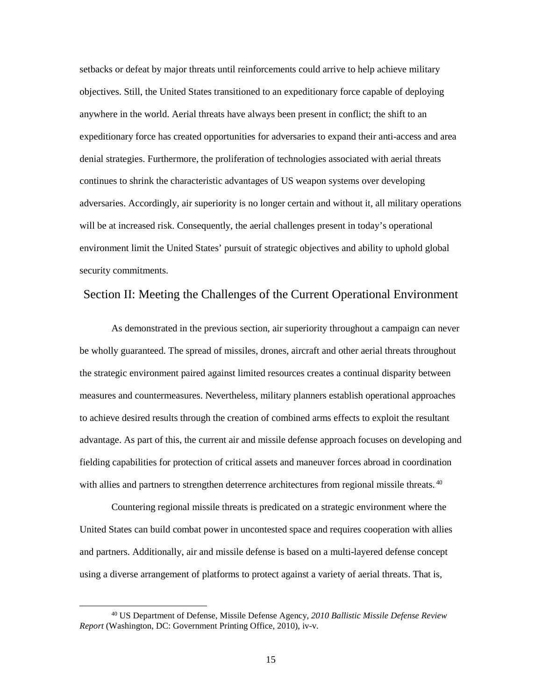setbacks or defeat by major threats until reinforcements could arrive to help achieve military objectives. Still, the United States transitioned to an expeditionary force capable of deploying anywhere in the world. Aerial threats have always been present in conflict; the shift to an expeditionary force has created opportunities for adversaries to expand their anti-access and area denial strategies. Furthermore, the proliferation of technologies associated with aerial threats continues to shrink the characteristic advantages of US weapon systems over developing adversaries. Accordingly, air superiority is no longer certain and without it, all military operations will be at increased risk. Consequently, the aerial challenges present in today's operational environment limit the United States' pursuit of strategic objectives and ability to uphold global security commitments.

#### <span id="page-22-0"></span>Section II: Meeting the Challenges of the Current Operational Environment

As demonstrated in the previous section, air superiority throughout a campaign can never be wholly guaranteed. The spread of missiles, drones, aircraft and other aerial threats throughout the strategic environment paired against limited resources creates a continual disparity between measures and countermeasures. Nevertheless, military planners establish operational approaches to achieve desired results through the creation of combined arms effects to exploit the resultant advantage. As part of this, the current air and missile defense approach focuses on developing and fielding capabilities for protection of critical assets and maneuver forces abroad in coordination with allies and partners to strengthen deterrence architectures from regional missile threats.<sup>40</sup>

Countering regional missile threats is predicated on a strategic environment where the United States can build combat power in uncontested space and requires cooperation with allies and partners. Additionally, air and missile defense is based on a multi-layered defense concept using a diverse arrangement of platforms to protect against a variety of aerial threats. That is,

 <sup>40</sup> US Department of Defense, Missile Defense Agency, *2010 Ballistic Missile Defense Review Report* (Washington, DC: Government Printing Office, 2010), iv-v.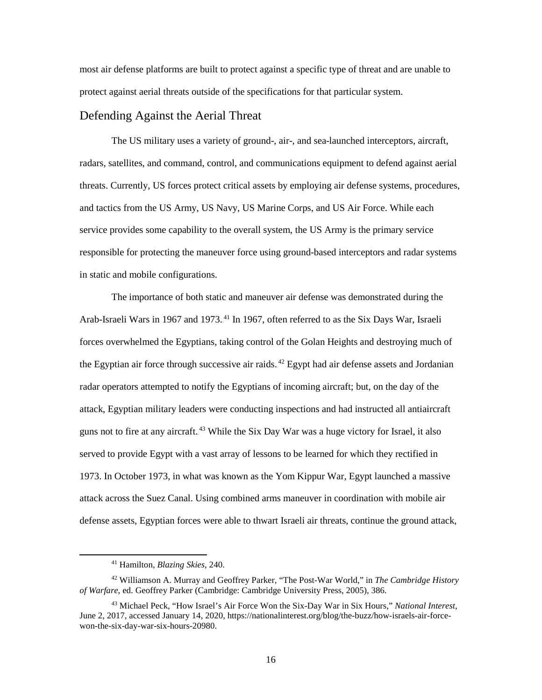most air defense platforms are built to protect against a specific type of threat and are unable to protect against aerial threats outside of the specifications for that particular system.

#### <span id="page-23-0"></span>Defending Against the Aerial Threat

The US military uses a variety of ground-, air-, and sea-launched interceptors, aircraft, radars, satellites, and command, control, and communications equipment to defend against aerial threats. Currently, US forces protect critical assets by employing air defense systems, procedures, and tactics from the US Army, US Navy, US Marine Corps, and US Air Force. While each service provides some capability to the overall system, the US Army is the primary service responsible for protecting the maneuver force using ground-based interceptors and radar systems in static and mobile configurations.

The importance of both static and maneuver air defense was demonstrated during the Arab-Israeli Wars in 1967 and 1973.<sup>41</sup> In 1967, often referred to as the Six Days War, Israeli forces overwhelmed the Egyptians, taking control of the Golan Heights and destroying much of the Egyptian air force through successive air raids.<sup>42</sup> Egypt had air defense assets and Jordanian radar operators attempted to notify the Egyptians of incoming aircraft; but, on the day of the attack, Egyptian military leaders were conducting inspections and had instructed all antiaircraft guns not to fire at any aircraft.<sup>43</sup> While the Six Day War was a huge victory for Israel, it also served to provide Egypt with a vast array of lessons to be learned for which they rectified in 1973. In October 1973, in what was known as the Yom Kippur War, Egypt launched a massive attack across the Suez Canal. Using combined arms maneuver in coordination with mobile air defense assets, Egyptian forces were able to thwart Israeli air threats, continue the ground attack,

 <sup>41</sup> Hamilton, *Blazing Skies*, 240.

<sup>42</sup> Williamson A. Murray and Geoffrey Parker, "The Post-War World," in *The Cambridge History of Warfare*, ed. Geoffrey Parker (Cambridge: Cambridge University Press, 2005), 386.

<sup>43</sup> Michael Peck, "How Israel's Air Force Won the Six-Day War in Six Hours," *National Interest*, June 2, 2017, accessed January 14, 2020, https://nationalinterest.org/blog/the-buzz/how-israels-air-forcewon-the-six-day-war-six-hours-20980.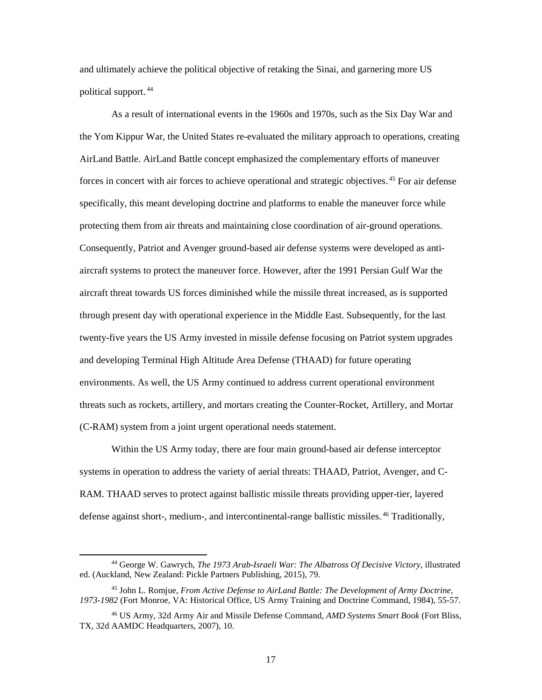and ultimately achieve the political objective of retaking the Sinai, and garnering more US political support.<sup>44</sup>

As a result of international events in the 1960s and 1970s, such as the Six Day War and the Yom Kippur War, the United States re-evaluated the military approach to operations, creating AirLand Battle. AirLand Battle concept emphasized the complementary efforts of maneuver forces in concert with air forces to achieve operational and strategic objectives.<sup>45</sup> For air defense specifically, this meant developing doctrine and platforms to enable the maneuver force while protecting them from air threats and maintaining close coordination of air-ground operations. Consequently, Patriot and Avenger ground-based air defense systems were developed as antiaircraft systems to protect the maneuver force. However, after the 1991 Persian Gulf War the aircraft threat towards US forces diminished while the missile threat increased, as is supported through present day with operational experience in the Middle East. Subsequently, for the last twenty-five years the US Army invested in missile defense focusing on Patriot system upgrades and developing Terminal High Altitude Area Defense (THAAD) for future operating environments. As well, the US Army continued to address current operational environment threats such as rockets, artillery, and mortars creating the Counter-Rocket, Artillery, and Mortar (C-RAM) system from a joint urgent operational needs statement.

Within the US Army today, there are four main ground-based air defense interceptor systems in operation to address the variety of aerial threats: THAAD, Patriot, Avenger, and C-RAM. THAAD serves to protect against ballistic missile threats providing upper-tier, layered defense against short-, medium-, and intercontinental-range ballistic missiles.<sup>46</sup> Traditionally,

 <sup>44</sup> George W. Gawrych, *The 1973 Arab-Israeli War: The Albatross Of Decisive Victory*, illustrated ed. (Auckland, New Zealand: Pickle Partners Publishing, 2015), 79.

<sup>45</sup> John L. Romjue, *From Active Defense to AirLand Battle: The Development of Army Doctrine, 1973-1982* (Fort Monroe, VA: Historical Office, US Army Training and Doctrine Command, 1984), 55-57.

<sup>46</sup> US Army, 32d Army Air and Missile Defense Command, *AMD Systems Smart Book* (Fort Bliss, TX, 32d AAMDC Headquarters, 2007), 10.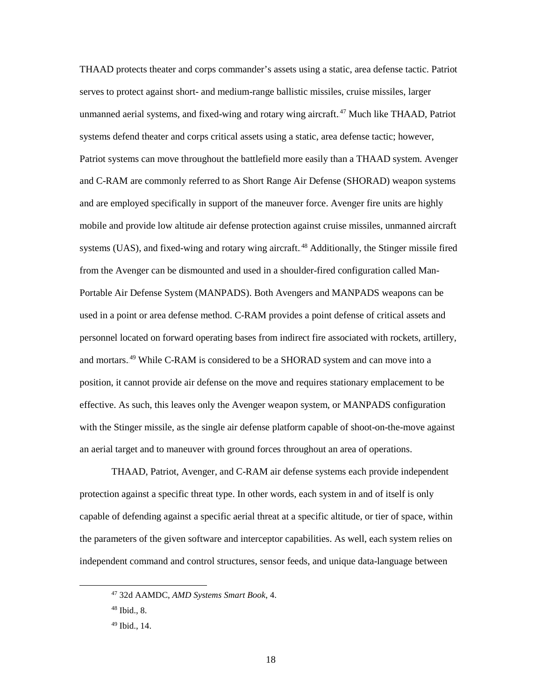THAAD protects theater and corps commander's assets using a static, area defense tactic. Patriot serves to protect against short- and medium-range ballistic missiles, cruise missiles, larger unmanned aerial systems, and fixed-wing and rotary wing aircraft.<sup>47</sup> Much like THAAD, Patriot systems defend theater and corps critical assets using a static, area defense tactic; however, Patriot systems can move throughout the battlefield more easily than a THAAD system. Avenger and C-RAM are commonly referred to as Short Range Air Defense (SHORAD) weapon systems and are employed specifically in support of the maneuver force. Avenger fire units are highly mobile and provide low altitude air defense protection against cruise missiles, unmanned aircraft systems (UAS), and fixed-wing and rotary wing aircraft.<sup>48</sup> Additionally, the Stinger missile fired from the Avenger can be dismounted and used in a shoulder-fired configuration called Man-Portable Air Defense System (MANPADS). Both Avengers and MANPADS weapons can be used in a point or area defense method. C-RAM provides a point defense of critical assets and personnel located on forward operating bases from indirect fire associated with rockets, artillery, and mortars.<sup>49</sup> While C-RAM is considered to be a SHORAD system and can move into a position, it cannot provide air defense on the move and requires stationary emplacement to be effective. As such, this leaves only the Avenger weapon system, or MANPADS configuration with the Stinger missile, as the single air defense platform capable of shoot-on-the-move against an aerial target and to maneuver with ground forces throughout an area of operations.

THAAD, Patriot, Avenger, and C-RAM air defense systems each provide independent protection against a specific threat type. In other words, each system in and of itself is only capable of defending against a specific aerial threat at a specific altitude, or tier of space, within the parameters of the given software and interceptor capabilities. As well, each system relies on independent command and control structures, sensor feeds, and unique data-language between

 <sup>47</sup> 32d AAMDC, *AMD Systems Smart Book*, 4.

 $48$  Ibid., 8.

<sup>49</sup> Ibid., 14.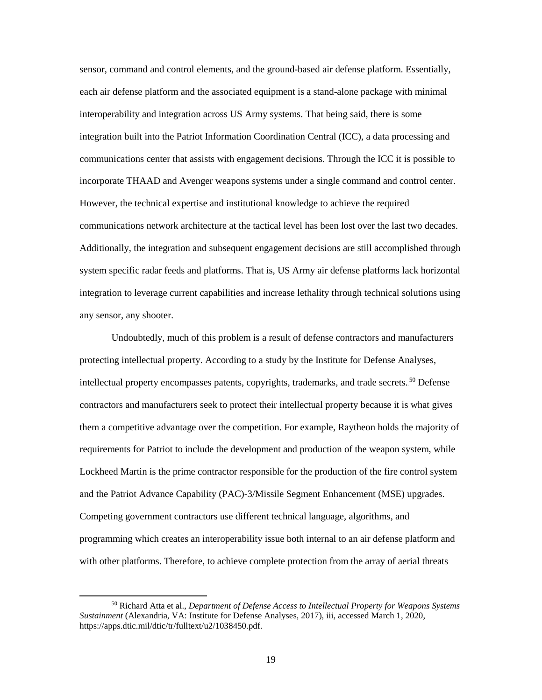sensor, command and control elements, and the ground-based air defense platform. Essentially, each air defense platform and the associated equipment is a stand-alone package with minimal interoperability and integration across US Army systems. That being said, there is some integration built into the Patriot Information Coordination Central (ICC), a data processing and communications center that assists with engagement decisions. Through the ICC it is possible to incorporate THAAD and Avenger weapons systems under a single command and control center. However, the technical expertise and institutional knowledge to achieve the required communications network architecture at the tactical level has been lost over the last two decades. Additionally, the integration and subsequent engagement decisions are still accomplished through system specific radar feeds and platforms. That is, US Army air defense platforms lack horizontal integration to leverage current capabilities and increase lethality through technical solutions using any sensor, any shooter.

Undoubtedly, much of this problem is a result of defense contractors and manufacturers protecting intellectual property. According to a study by the Institute for Defense Analyses, intellectual property encompasses patents, copyrights, trademarks, and trade secrets.<sup>50</sup> Defense contractors and manufacturers seek to protect their intellectual property because it is what gives them a competitive advantage over the competition. For example, Raytheon holds the majority of requirements for Patriot to include the development and production of the weapon system, while Lockheed Martin is the prime contractor responsible for the production of the fire control system and the Patriot Advance Capability (PAC)-3/Missile Segment Enhancement (MSE) upgrades. Competing government contractors use different technical language, algorithms, and programming which creates an interoperability issue both internal to an air defense platform and with other platforms. Therefore, to achieve complete protection from the array of aerial threats

 <sup>50</sup> Richard Atta et al., *Department of Defense Access to Intellectual Property for Weapons Systems Sustainment* (Alexandria, VA: Institute for Defense Analyses, 2017), iii, accessed March 1, 2020, https://apps.dtic.mil/dtic/tr/fulltext/u2/1038450.pdf.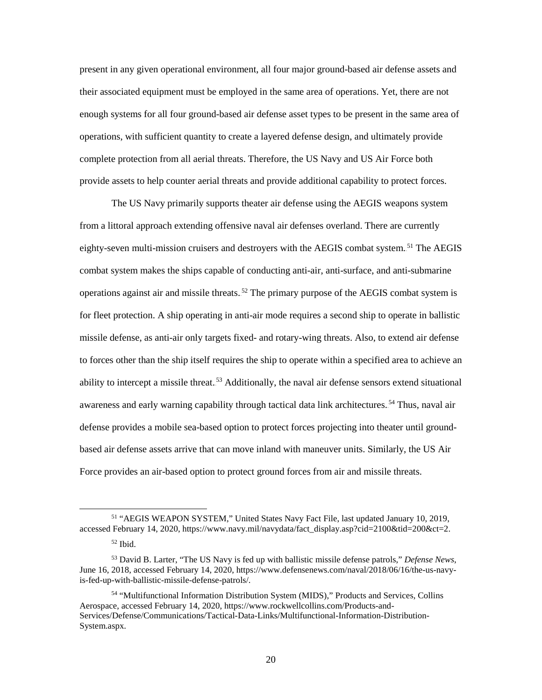present in any given operational environment, all four major ground-based air defense assets and their associated equipment must be employed in the same area of operations. Yet, there are not enough systems for all four ground-based air defense asset types to be present in the same area of operations, with sufficient quantity to create a layered defense design, and ultimately provide complete protection from all aerial threats. Therefore, the US Navy and US Air Force both provide assets to help counter aerial threats and provide additional capability to protect forces.

The US Navy primarily supports theater air defense using the AEGIS weapons system from a littoral approach extending offensive naval air defenses overland. There are currently eighty-seven multi-mission cruisers and destroyers with the AEGIS combat system.<sup>51</sup> The AEGIS combat system makes the ships capable of conducting anti-air, anti-surface, and anti-submarine operations against air and missile threats.<sup>52</sup> The primary purpose of the AEGIS combat system is for fleet protection. A ship operating in anti-air mode requires a second ship to operate in ballistic missile defense, as anti-air only targets fixed- and rotary-wing threats. Also, to extend air defense to forces other than the ship itself requires the ship to operate within a specified area to achieve an ability to intercept a missile threat.<sup>53</sup> Additionally, the naval air defense sensors extend situational awareness and early warning capability through tactical data link architectures.<sup>54</sup> Thus, naval air defense provides a mobile sea-based option to protect forces projecting into theater until groundbased air defense assets arrive that can move inland with maneuver units. Similarly, the US Air Force provides an air-based option to protect ground forces from air and missile threats.

 <sup>51</sup> "AEGIS WEAPON SYSTEM," United States Navy Fact File, last updated January 10, 2019, accessed February 14, 2020, https://www.navy.mil/navydata/fact\_display.asp?cid=2100&tid=200&ct=2.

 $52$  Ibid.

<sup>53</sup> David B. Larter, "The US Navy is fed up with ballistic missile defense patrols," *Defense News*, June 16, 2018, accessed February 14, 2020, [https://www.defensenews.com/naval/2018/06/16/the-us-navy](https://www.defensenews.com/naval/2018/06/16/the-us-navy-is-fed-up-with-ballistic-missile-defense-patrols/)[is-fed-up-with-ballistic-missile-defense-patrols/.](https://www.defensenews.com/naval/2018/06/16/the-us-navy-is-fed-up-with-ballistic-missile-defense-patrols/)

<sup>54</sup> "Multifunctional Information Distribution System (MIDS)," Products and Services, Collins Aerospace, accessed February 14, 2020, https://www.rockwellcollins.com/Products-and-Services/Defense/Communications/Tactical-Data-Links/Multifunctional-Information-Distribution-System.aspx.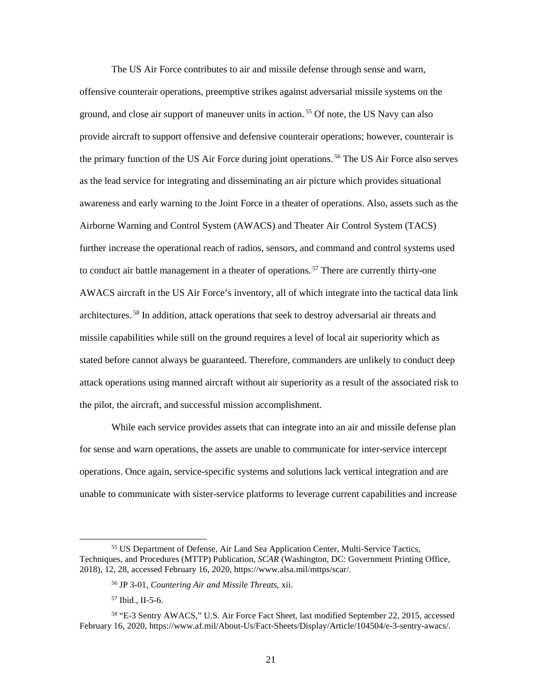The US Air Force contributes to air and missile defense through sense and warn, offensive counterair operations, preemptive strikes against adversarial missile systems on the ground, and close air support of maneuver units in action.<sup>55</sup> Of note, the US Navy can also provide aircraft to support offensive and defensive counterair operations; however, counterair is the primary function of the US Air Force during joint operations.<sup>56</sup> The US Air Force also serves as the lead service for integrating and disseminating an air picture which provides situational awareness and early warning to the Joint Force in a theater of operations. Also, assets such as the Airborne Warning and Control System (AWACS) and Theater Air Control System (TACS) further increase the operational reach of radios, sensors, and command and control systems used to conduct air battle management in a theater of operations.<sup>57</sup> There are currently thirty-one AWACS aircraft in the US Air Force's inventory, all of which integrate into the tactical data link architectures.<sup>58</sup> In addition, attack operations that seek to destroy adversarial air threats and missile capabilities while still on the ground requires a level of local air superiority which as stated before cannot always be guaranteed. Therefore, commanders are unlikely to conduct deep attack operations using manned aircraft without air superiority as a result of the associated risk to the pilot, the aircraft, and successful mission accomplishment.

While each service provides assets that can integrate into an air and missile defense plan for sense and warn operations, the assets are unable to communicate for inter-service intercept operations. Once again, service-specific systems and solutions lack vertical integration and are unable to communicate with sister-service platforms to leverage current capabilities and increase

 <sup>55</sup> US Department of Defense, Air Land Sea Application Center, Multi-Service Tactics, Techniques, and Procedures (MTTP) Publication, *SCAR* (Washington, DC: Government Printing Office, 2018), 12, 28, accessed February 16, 2020, https://www.alsa.mil/mttps/scar/.

<sup>56</sup> JP 3-01, *Countering Air and Missile Threats*, xii.

<sup>57</sup> Ibid., II-5-6.

<sup>58</sup> "E-3 Sentry AWACS," U.S. Air Force Fact Sheet, last modified September 22, 2015, accessed February 16, 2020, https://www.af.mil/About-Us/Fact-Sheets/Display/Article/104504/e-3-sentry-awacs/.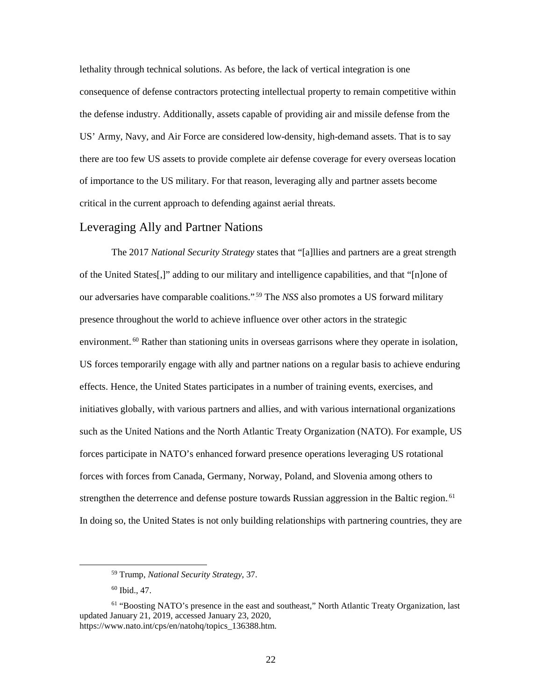lethality through technical solutions. As before, the lack of vertical integration is one consequence of defense contractors protecting intellectual property to remain competitive within the defense industry. Additionally, assets capable of providing air and missile defense from the US' Army, Navy, and Air Force are considered low-density, high-demand assets. That is to say there are too few US assets to provide complete air defense coverage for every overseas location of importance to the US military. For that reason, leveraging ally and partner assets become critical in the current approach to defending against aerial threats.

## <span id="page-29-0"></span>Leveraging Ally and Partner Nations

The 2017 *National Security Strategy* states that "[a]llies and partners are a great strength of the United States[,]" adding to our military and intelligence capabilities, and that "[n]one of our adversaries have comparable coalitions."<sup>59</sup> The *NSS* also promotes a US forward military presence throughout the world to achieve influence over other actors in the strategic environment.<sup>60</sup> Rather than stationing units in overseas garrisons where they operate in isolation, US forces temporarily engage with ally and partner nations on a regular basis to achieve enduring effects. Hence, the United States participates in a number of training events, exercises, and initiatives globally, with various partners and allies, and with various international organizations such as the United Nations and the North Atlantic Treaty Organization (NATO). For example, US forces participate in NATO's enhanced forward presence operations leveraging US rotational forces with forces from Canada, Germany, Norway, Poland, and Slovenia among others to strengthen the deterrence and defense posture towards Russian aggression in the Baltic region.<sup>61</sup> In doing so, the United States is not only building relationships with partnering countries, they are

 <sup>59</sup> Trump, *National Security Strategy*, 37.

<sup>60</sup> Ibid., 47.

<sup>61</sup> "Boosting NATO's presence in the east and southeast," North Atlantic Treaty Organization, last updated January 21, 2019, accessed January 23, 2020, https://www.nato.int/cps/en/natohq/topics\_136388.htm.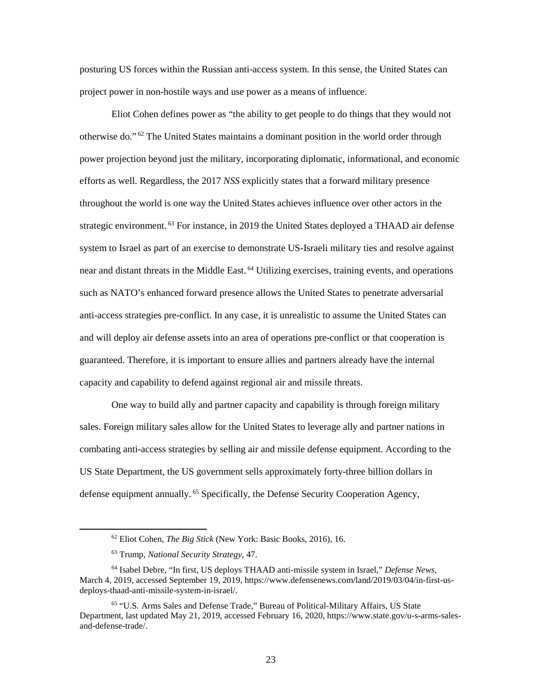posturing US forces within the Russian anti-access system. In this sense, the United States can project power in non-hostile ways and use power as a means of influence.

Eliot Cohen defines power as "the ability to get people to do things that they would not otherwise do."<sup>62</sup> The United States maintains a dominant position in the world order through power projection beyond just the military, incorporating diplomatic, informational, and economic efforts as well. Regardless, the 2017 *NSS* explicitly states that a forward military presence throughout the world is one way the United States achieves influence over other actors in the strategic environment.<sup>63</sup> For instance, in 2019 the United States deployed a THAAD air defense system to Israel as part of an exercise to demonstrate US-Israeli military ties and resolve against near and distant threats in the Middle East.<sup>64</sup> Utilizing exercises, training events, and operations such as NATO's enhanced forward presence allows the United States to penetrate adversarial anti-access strategies pre-conflict. In any case, it is unrealistic to assume the United States can and will deploy air defense assets into an area of operations pre-conflict or that cooperation is guaranteed. Therefore, it is important to ensure allies and partners already have the internal capacity and capability to defend against regional air and missile threats.

One way to build ally and partner capacity and capability is through foreign military sales. Foreign military sales allow for the United States to leverage ally and partner nations in combating anti-access strategies by selling air and missile defense equipment. According to the US State Department, the US government sells approximately forty-three billion dollars in defense equipment annually.<sup>65</sup> Specifically, the Defense Security Cooperation Agency,

 <sup>62</sup> Eliot Cohen, *The Big Stick* (New York: Basic Books, 2016), 16.

<sup>63</sup> Trump, *National Security Strategy*, 47.

<sup>64</sup> Isabel Debre, "In first, US deploys THAAD anti-missile system in Israel," *Defense News*, March 4, 2019, accessed September 19, 2019, https://www.defensenews.com/land/2019/03/04/in-first-usdeploys-thaad-anti-missile-system-in-israel/.

<sup>65 &</sup>quot;U.S. Arms Sales and Defense Trade," Bureau of Political-Military Affairs, US State Department, last updated May 21, 2019, accessed February 16, 2020, https://www.state.gov/u-s-arms-salesand-defense-trade/.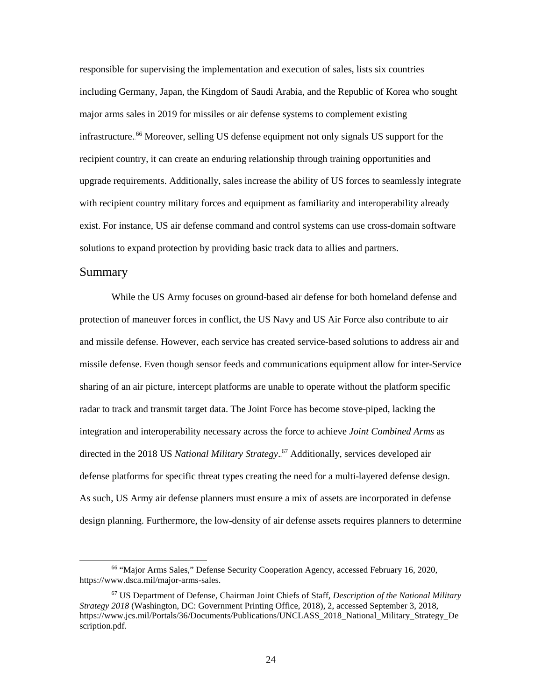responsible for supervising the implementation and execution of sales, lists six countries including Germany, Japan, the Kingdom of Saudi Arabia, and the Republic of Korea who sought major arms sales in 2019 for missiles or air defense systems to complement existing infrastructure.<sup>66</sup> Moreover, selling US defense equipment not only signals US support for the recipient country, it can create an enduring relationship through training opportunities and upgrade requirements. Additionally, sales increase the ability of US forces to seamlessly integrate with recipient country military forces and equipment as familiarity and interoperability already exist. For instance, US air defense command and control systems can use cross-domain software solutions to expand protection by providing basic track data to allies and partners.

#### <span id="page-31-0"></span>Summary

While the US Army focuses on ground-based air defense for both homeland defense and protection of maneuver forces in conflict, the US Navy and US Air Force also contribute to air and missile defense. However, each service has created service-based solutions to address air and missile defense. Even though sensor feeds and communications equipment allow for inter-Service sharing of an air picture, intercept platforms are unable to operate without the platform specific radar to track and transmit target data. The Joint Force has become stove-piped, lacking the integration and interoperability necessary across the force to achieve *Joint Combined Arms* as directed in the 2018 US National Military Strategy.<sup>67</sup> Additionally, services developed air defense platforms for specific threat types creating the need for a multi-layered defense design. As such, US Army air defense planners must ensure a mix of assets are incorporated in defense design planning. Furthermore, the low-density of air defense assets requires planners to determine

 <sup>66</sup> "Major Arms Sales," Defense Security Cooperation Agency, accessed February 16, 2020, https://www.dsca.mil/major-arms-sales.

<sup>67</sup> US Department of Defense, Chairman Joint Chiefs of Staff, *Description of the National Military Strategy 2018* (Washington, DC: Government Printing Office, 2018), 2, accessed September 3, 2018, https://www.jcs.mil/Portals/36/Documents/Publications/UNCLASS\_2018\_National\_Military\_Strategy\_De scription.pdf.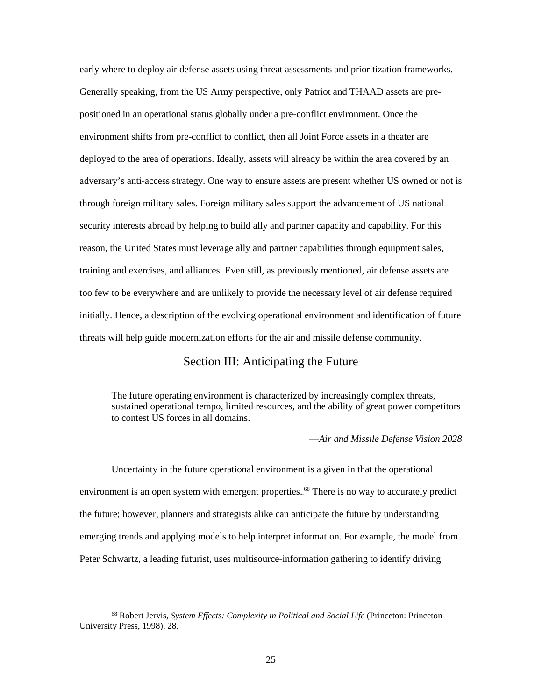early where to deploy air defense assets using threat assessments and prioritization frameworks. Generally speaking, from the US Army perspective, only Patriot and THAAD assets are prepositioned in an operational status globally under a pre-conflict environment. Once the environment shifts from pre-conflict to conflict, then all Joint Force assets in a theater are deployed to the area of operations. Ideally, assets will already be within the area covered by an adversary's anti-access strategy. One way to ensure assets are present whether US owned or not is through foreign military sales. Foreign military sales support the advancement of US national security interests abroad by helping to build ally and partner capacity and capability. For this reason, the United States must leverage ally and partner capabilities through equipment sales, training and exercises, and alliances. Even still, as previously mentioned, air defense assets are too few to be everywhere and are unlikely to provide the necessary level of air defense required initially. Hence, a description of the evolving operational environment and identification of future threats will help guide modernization efforts for the air and missile defense community.

#### Section III: Anticipating the Future

<span id="page-32-0"></span>The future operating environment is characterized by increasingly complex threats, sustained operational tempo, limited resources, and the ability of great power competitors to contest US forces in all domains.

—*Air and Missile Defense Vision 2028*

Uncertainty in the future operational environment is a given in that the operational environment is an open system with emergent properties.<sup>68</sup> There is no way to accurately predict the future; however, planners and strategists alike can anticipate the future by understanding emerging trends and applying models to help interpret information. For example, the model from Peter Schwartz, a leading futurist, uses multisource-information gathering to identify driving

 <sup>68</sup> Robert Jervis, *System Effects: Complexity in Political and Social Life* (Princeton: Princeton University Press, 1998), 28.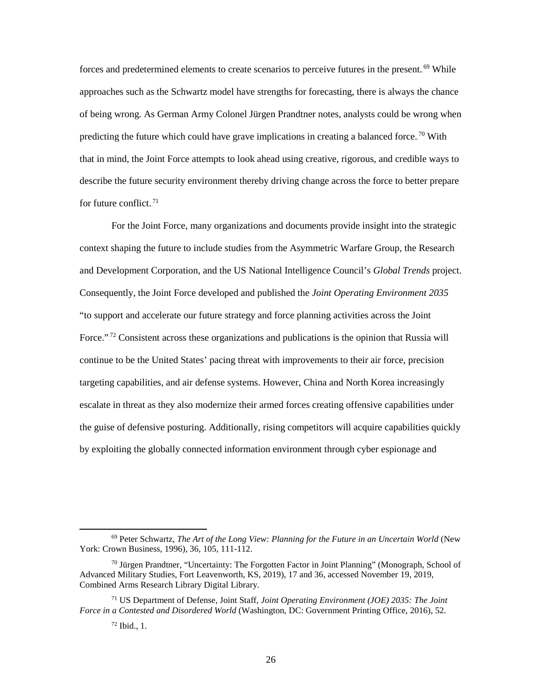forces and predetermined elements to create scenarios to perceive futures in the present.<sup>69</sup> While approaches such as the Schwartz model have strengths for forecasting, there is always the chance of being wrong. As German Army Colonel Jürgen Prandtner notes, analysts could be wrong when predicting the future which could have grave implications in creating a balanced force.<sup>70</sup> With that in mind, the Joint Force attempts to look ahead using creative, rigorous, and credible ways to describe the future security environment thereby driving change across the force to better prepare for future conflict.<sup>71</sup>

For the Joint Force, many organizations and documents provide insight into the strategic context shaping the future to include studies from the Asymmetric Warfare Group, the Research and Development Corporation, and the US National Intelligence Council's *Global Trends* project. Consequently, the Joint Force developed and published the *Joint Operating Environment 2035*  "to support and accelerate our future strategy and force planning activities across the Joint Force."<sup>72</sup> Consistent across these organizations and publications is the opinion that Russia will continue to be the United States' pacing threat with improvements to their air force, precision targeting capabilities, and air defense systems. However, China and North Korea increasingly escalate in threat as they also modernize their armed forces creating offensive capabilities under the guise of defensive posturing. Additionally, rising competitors will acquire capabilities quickly by exploiting the globally connected information environment through cyber espionage and

 <sup>69</sup> Peter Schwartz, *The Art of the Long View: Planning for the Future in an Uncertain World* (New York: Crown Business, 1996), 36, 105, 111-112.

 $70$  Jürgen Prandtner, "Uncertainty: The Forgotten Factor in Joint Planning" (Monograph, School of Advanced Military Studies, Fort Leavenworth, KS, 2019), 17 and 36, accessed November 19, 2019, Combined Arms Research Library Digital Library.

<sup>71</sup> US Department of Defense, Joint Staff, *Joint Operating Environment (JOE) 2035: The Joint Force in a Contested and Disordered World* (Washington, DC: Government Printing Office, 2016), 52.

 $72$  Ibid., 1.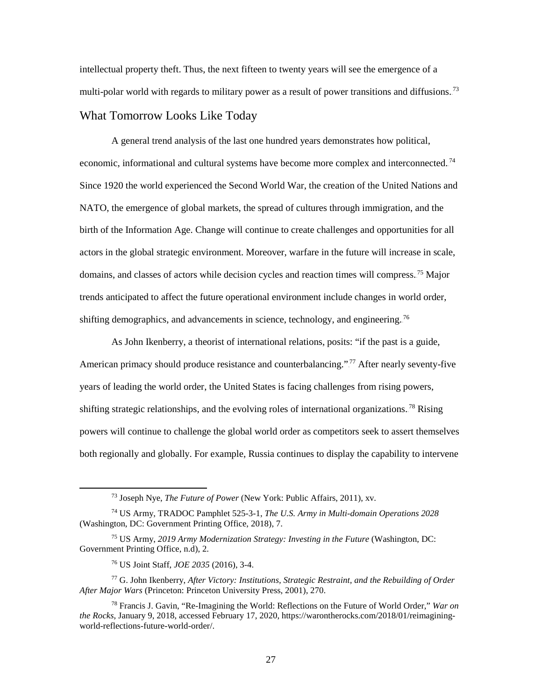intellectual property theft. Thus, the next fifteen to twenty years will see the emergence of a multi-polar world with regards to military power as a result of power transitions and diffusions.<sup>73</sup>

# <span id="page-34-0"></span>What Tomorrow Looks Like Today

A general trend analysis of the last one hundred years demonstrates how political, economic, informational and cultural systems have become more complex and interconnected.<sup>74</sup> Since 1920 the world experienced the Second World War, the creation of the United Nations and NATO, the emergence of global markets, the spread of cultures through immigration, and the birth of the Information Age. Change will continue to create challenges and opportunities for all actors in the global strategic environment. Moreover, warfare in the future will increase in scale, domains, and classes of actors while decision cycles and reaction times will compress.<sup>75</sup> Major trends anticipated to affect the future operational environment include changes in world order, shifting demographics, and advancements in science, technology, and engineering.<sup>76</sup>

As John Ikenberry, a theorist of international relations, posits: "if the past is a guide, American primacy should produce resistance and counterbalancing."<sup>77</sup> After nearly seventy-five years of leading the world order, the United States is facing challenges from rising powers, shifting strategic relationships, and the evolving roles of international organizations.<sup>78</sup> Rising powers will continue to challenge the global world order as competitors seek to assert themselves both regionally and globally. For example, Russia continues to display the capability to intervene

<sup>76</sup> US Joint Staff, *JOE 2035* (2016), 3-4.

 <sup>73</sup> Joseph Nye, *The Future of Power* (New York: Public Affairs, 2011), xv.

<sup>74</sup> US Army, TRADOC Pamphlet 525-3-1, *The U.S. Army in Multi-domain Operations 2028* (Washington, DC: Government Printing Office, 2018), 7.

<sup>75</sup> US Army, *2019 Army Modernization Strategy: Investing in the Future* (Washington, DC: Government Printing Office, n.d), 2.

<sup>77</sup> G. John Ikenberry, *After Victory: Institutions, Strategic Restraint, and the Rebuilding of Order After Major Wars* (Princeton: Princeton University Press, 2001), 270.

<sup>78</sup> Francis J. Gavin, "Re-Imagining the World: Reflections on the Future of World Order," *War on the Rocks*, January 9, 2018, accessed February 17, 2020, https://warontherocks.com/2018/01/reimaginingworld-reflections-future-world-order/.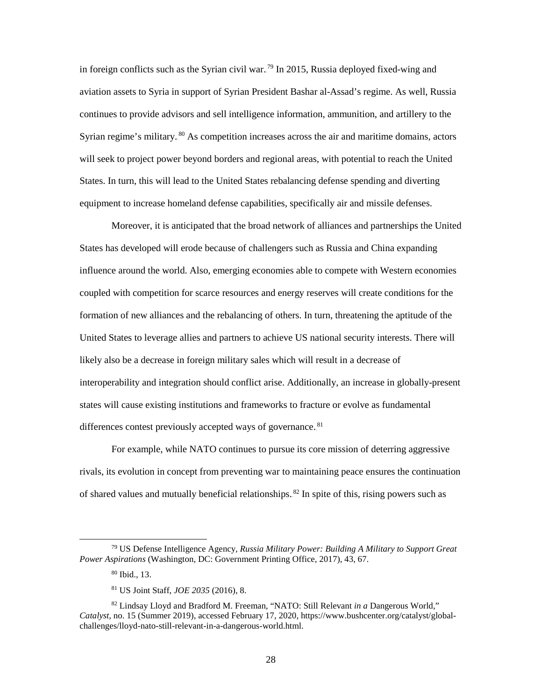in foreign conflicts such as the Syrian civil war.<sup>79</sup> In 2015, Russia deployed fixed-wing and aviation assets to Syria in support of Syrian President Bashar al-Assad's regime. As well, Russia continues to provide advisors and sell intelligence information, ammunition, and artillery to the Syrian regime's military.<sup>80</sup> As competition increases across the air and maritime domains, actors will seek to project power beyond borders and regional areas, with potential to reach the United States. In turn, this will lead to the United States rebalancing defense spending and diverting equipment to increase homeland defense capabilities, specifically air and missile defenses.

Moreover, it is anticipated that the broad network of alliances and partnerships the United States has developed will erode because of challengers such as Russia and China expanding influence around the world. Also, emerging economies able to compete with Western economies coupled with competition for scarce resources and energy reserves will create conditions for the formation of new alliances and the rebalancing of others. In turn, threatening the aptitude of the United States to leverage allies and partners to achieve US national security interests. There will likely also be a decrease in foreign military sales which will result in a decrease of interoperability and integration should conflict arise. Additionally, an increase in globally-present states will cause existing institutions and frameworks to fracture or evolve as fundamental differences contest previously accepted ways of governance.<sup>81</sup>

For example, while NATO continues to pursue its core mission of deterring aggressive rivals, its evolution in concept from preventing war to maintaining peace ensures the continuation of shared values and mutually beneficial relationships.<sup>82</sup> In spite of this, rising powers such as

 <sup>79</sup> US Defense Intelligence Agency*, Russia Military Power: Building A Military to Support Great Power Aspirations* (Washington, DC: Government Printing Office, 2017), 43, 67.

<sup>80</sup> Ibid., 13.

<sup>81</sup> US Joint Staff, *JOE 2035* (2016), 8.

<sup>82</sup> Lindsay Lloyd and Bradford M. Freeman, "NATO: Still Relevant *in a* Dangerous World," *Catalyst*, no. 15 (Summer 2019), accessed February 17, 2020, https://www.bushcenter.org/catalyst/globalchallenges/lloyd-nato-still-relevant-in-a-dangerous-world.html.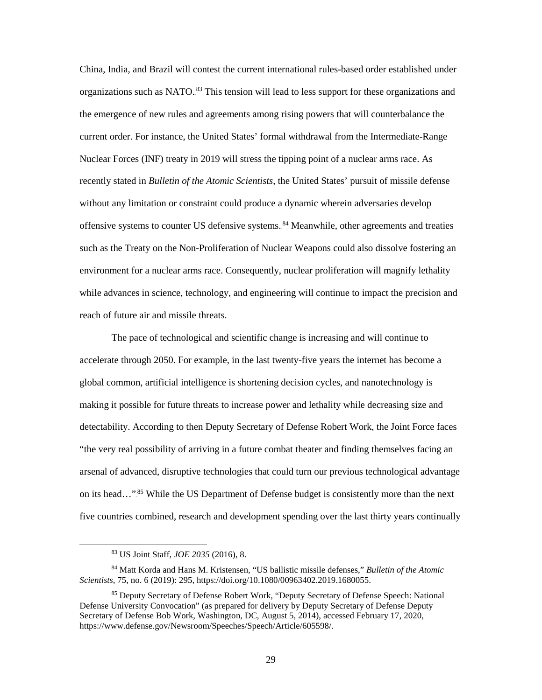China, India, and Brazil will contest the current international rules-based order established under organizations such as NATO.<sup>83</sup> This tension will lead to less support for these organizations and the emergence of new rules and agreements among rising powers that will counterbalance the current order. For instance, the United States' formal withdrawal from the Intermediate-Range Nuclear Forces (INF) treaty in 2019 will stress the tipping point of a nuclear arms race. As recently stated in *Bulletin of the Atomic Scientists*, the United States' pursuit of missile defense without any limitation or constraint could produce a dynamic wherein adversaries develop offensive systems to counter US defensive systems. <sup>84</sup> Meanwhile, other agreements and treaties such as the Treaty on the Non-Proliferation of Nuclear Weapons could also dissolve fostering an environment for a nuclear arms race. Consequently, nuclear proliferation will magnify lethality while advances in science, technology, and engineering will continue to impact the precision and reach of future air and missile threats.

The pace of technological and scientific change is increasing and will continue to accelerate through 2050. For example, in the last twenty-five years the internet has become a global common, artificial intelligence is shortening decision cycles, and nanotechnology is making it possible for future threats to increase power and lethality while decreasing size and detectability. According to then Deputy Secretary of Defense Robert Work, the Joint Force faces "the very real possibility of arriving in a future combat theater and finding themselves facing an arsenal of advanced, disruptive technologies that could turn our previous technological advantage on its head..."<sup>85</sup> While the US Department of Defense budget is consistently more than the next five countries combined, research and development spending over the last thirty years continually

 <sup>83</sup> US Joint Staff, *JOE 2035* (2016), 8.

<sup>84</sup> Matt Korda and Hans M. Kristensen, "US ballistic missile defenses," *Bulletin of the Atomic Scientists*, 75, no. 6 (2019): 295, https://doi.org/10.1080/00963402.2019.1680055.

<sup>85</sup> Deputy Secretary of Defense Robert Work, "Deputy Secretary of Defense Speech: National Defense University Convocation" (as prepared for delivery by Deputy Secretary of Defense Deputy Secretary of Defense Bob Work, Washington, DC, August 5, 2014), accessed February 17, 2020, https://www.defense.gov/Newsroom/Speeches/Speech/Article/605598/.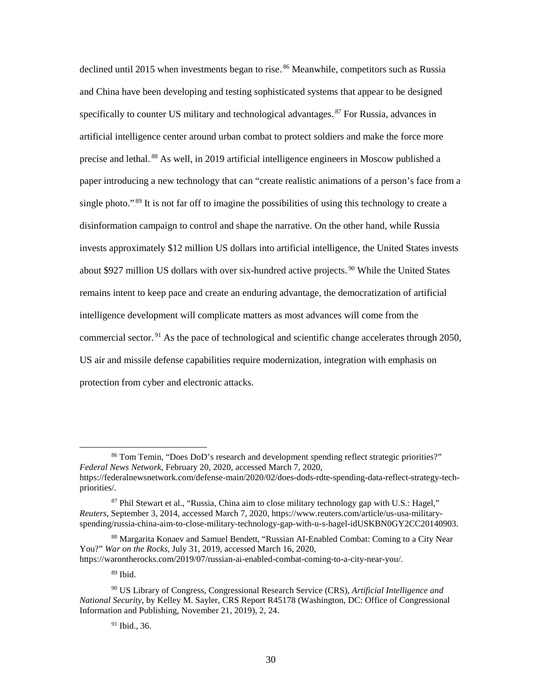declined until 2015 when investments began to rise.<sup>86</sup> Meanwhile, competitors such as Russia and China have been developing and testing sophisticated systems that appear to be designed specifically to counter US military and technological advantages.<sup>87</sup> For Russia, advances in artificial intelligence center around urban combat to protect soldiers and make the force more precise and lethal.<sup>88</sup> As well, in 2019 artificial intelligence engineers in Moscow published a paper introducing a new technology that can "create realistic animations of a person's face from a single photo."<sup>89</sup> It is not far off to imagine the possibilities of using this technology to create a disinformation campaign to control and shape the narrative. On the other hand, while Russia invests approximately \$12 million US dollars into artificial intelligence, the United States invests about \$927 million US dollars with over six-hundred active projects.<sup>90</sup> While the United States remains intent to keep pace and create an enduring advantage, the democratization of artificial intelligence development will complicate matters as most advances will come from the commercial sector.<sup>91</sup> As the pace of technological and scientific change accelerates through 2050, US air and missile defense capabilities require modernization, integration with emphasis on protection from cyber and electronic attacks.

 <sup>86</sup> Tom Temin, "Does DoD's research and development spending reflect strategic priorities?" *Federal News Network*, February 20, 2020, accessed March 7, 2020, https://federalnewsnetwork.com/defense-main/2020/02/does-dods-rdte-spending-data-reflect-strategy-techpriorities/.

<sup>87</sup> Phil Stewart et al., "Russia, China aim to close military technology gap with U.S.: Hagel," *Reuters*, September 3, 2014, accessed March 7, 2020, https://www.reuters.com/article/us-usa-militaryspending/russia-china-aim-to-close-military-technology-gap-with-u-s-hagel-idUSKBN0GY2CC20140903.

<sup>88</sup> Margarita Konaev and Samuel Bendett, "Russian AI-Enabled Combat: Coming to a City Near You?" *War on the Rocks*, July 31, 2019, accessed March 16, 2020, https://warontherocks.com/2019/07/russian-ai-enabled-combat-coming-to-a-city-near-you/.

<sup>89</sup> Ibid.

<sup>90</sup> US Library of Congress, Congressional Research Service (CRS), *Artificial Intelligence and National Security*, by Kelley M. Sayler, CRS Report R45178 (Washington, DC: Office of Congressional Information and Publishing, November 21, 2019), 2, 24.

 $91$  Ibid., 36.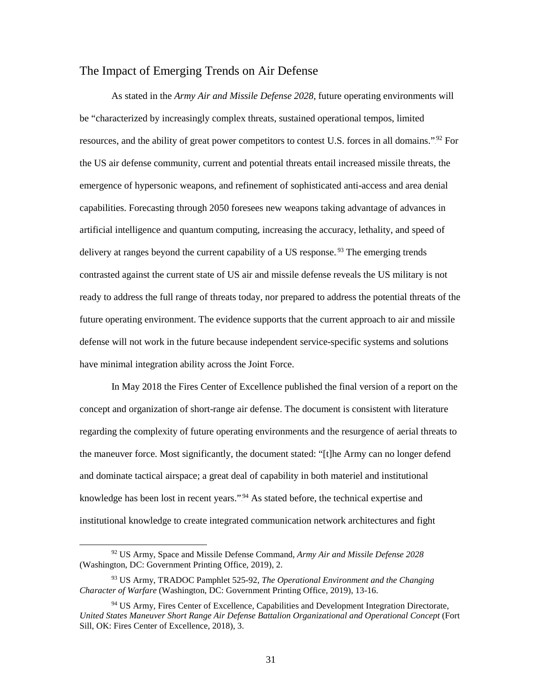#### <span id="page-38-0"></span>[The](#page-38-1) Impact of Emerging Trends on Air Defense

As stated in the *Army Air and Missile Defense 2028*, future operating environments will be "characterized by increasingly complex threats, sustained operational tempos, limited resources, and the ability of great power competitors to contest U.S. forces in all domains."<sup>92</sup> For the US air defense community, current and potential threats entail increased missile threats, the emergence of hypersonic weapons, and refinement of sophisticated anti-access and area denial capabilities. Forecasting through 2050 foresees new weapons taking advantage of advances in artificial intelligence and quantum computing, increasing the accuracy, lethality, and speed of delivery at ranges beyond the current capability of a US response.<sup>93</sup> The emerging trends contrasted against the current state of US air and missile defense reveals the US military is not ready to address the full range of threats today, nor prepared to address the potential threats of the future operating environment. The evidence supports that the current approach to air and missile defense will not work in the future because independent service-specific systems and solutions have minimal integration ability across the Joint Force.

<span id="page-38-1"></span>In May 2018 the Fires Center of Excellence published the final version of a report on the concept and organization of short-range air defense. The document is consistent with literature regarding the complexity of future operating environments and the resurgence of aerial threats to the maneuver force. Most significantly, the document stated: "[t]he Army can no longer defend and dominate tactical airspace; a great deal of capability in both materiel and institutional knowledge has been lost in recent years."<sup>94</sup> As stated before, the technical expertise and institutional knowledge to create integrated communication network architectures and fight

 <sup>92</sup> US Army, Space and Missile Defense Command, *Army Air and Missile Defense 2028* (Washington, DC: Government Printing Office, 2019), 2.

<sup>93</sup> US Army, TRADOC Pamphlet 525-92, *The Operational Environment and the Changing Character of Warfare* (Washington, DC: Government Printing Office, 2019), 13-16.

<sup>94</sup> US Army, Fires Center of Excellence, Capabilities and Development Integration Directorate, *United States Maneuver Short Range Air Defense Battalion Organizational and Operational Concept* (Fort Sill, OK: Fires Center of Excellence, 2018), 3.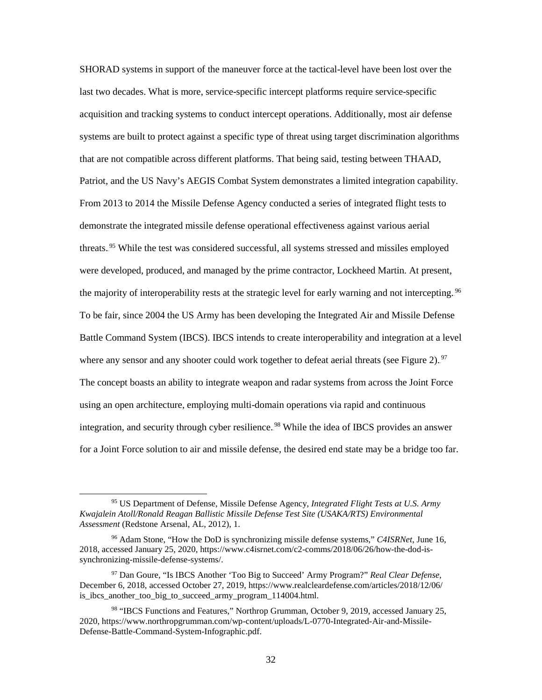SHORAD systems in support of the maneuver force at the tactical-level have been lost over the last two decades. What is more, service-specific intercept platforms require service-specific acquisition and tracking systems to conduct intercept operations. Additionally, most air defense systems are built to protect against a specific type of threat using target discrimination algorithms that are not compatible across different platforms. That being said, testing between THAAD, Patriot, and the US Navy's AEGIS Combat System demonstrates a limited integration capability. From 2013 to 2014 the Missile Defense Agency conducted a series of integrated flight tests to demonstrate the integrated missile defense operational effectiveness against various aerial threats.<sup>95</sup> While the test was considered successful, all systems stressed and missiles employed were developed, produced, and managed by the prime contractor, Lockheed Martin. At present, the majority of interoperability rests at the strategic level for early warning and not intercepting.<sup>96</sup> To be fair, since 2004 the US Army has been developing the Integrated Air and Missile Defense Battle Command System (IBCS). IBCS intends to create interoperability and integration at a level where any sensor and any shooter could work together to defeat aerial threats (see Figure 2).<sup>97</sup> The concept boasts an ability to integrate weapon and radar systems from across the Joint Force using an open architecture, employing multi-domain operations via rapid and continuous integration, and security through cyber resilience.<sup>98</sup> While the idea of IBCS provides an answer for a Joint Force solution to air and missile defense, the desired end state may be a bridge too far.

 <sup>95</sup> US Department of Defense, Missile Defense Agency, *Integrated Flight Tests at U.S. Army Kwajalein Atoll/Ronald Reagan Ballistic Missile Defense Test Site (USAKA/RTS) Environmental Assessment* (Redstone Arsenal, AL, 2012), 1.

<sup>96</sup> Adam Stone, "How the DoD is synchronizing missile defense systems," *C4ISRNet*, June 16, 2018, accessed January 25, 2020, https://www.c4isrnet.com/c2-comms/2018/06/26/how-the-dod-issynchronizing-missile-defense-systems/.

<sup>97</sup> Dan Goure, "Is IBCS Another 'Too Big to Succeed' Army Program?" *Real Clear Defense*, December 6, 2018, accessed October 27, 2019, https://www.realcleardefense.com/articles/2018/12/06/ is\_ibcs\_another\_too\_big\_to\_succeed\_army\_program\_114004.html.

<sup>98</sup> "IBCS Functions and Features," Northrop Grumman, October 9, 2019, accessed January 25, 2020, https://www.northropgrumman.com/wp-content/uploads/L-0770-Integrated-Air-and-Missile-Defense-Battle-Command-System-Infographic.pdf.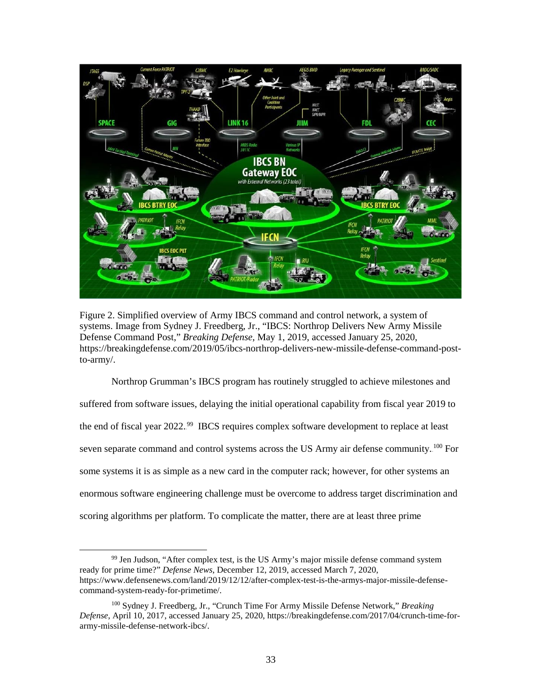

Figure 2. Simplified overview of Army IBCS command and control network, a system of systems. Image from Sydney J. Freedberg, Jr., "IBCS: Northrop Delivers New Army Missile Defense Command Post," *Breaking Defense*, May 1, 2019, accessed January 25, 2020, [https://breakingdefense.com/2019/05/ibcs-northrop-delivers-new-missile-defense-command-post](https://breakingdefense.com/2019/05/ibcs-northrop-delivers-new-missile-defense-command-post-to-army/)[to-army/.](https://breakingdefense.com/2019/05/ibcs-northrop-delivers-new-missile-defense-command-post-to-army/)

<span id="page-40-0"></span>Northrop Grumman's IBCS program has routinely struggled to achieve milestones and suffered from software issues, delaying the initial operational capability from fiscal year 2019 to the end of fiscal year 2022.<sup>99</sup> IBCS requires complex software development to replace at least seven separate command and control systems across the US Army air defense community.<sup>100</sup> For some systems it is as simple as a new card in the computer rack; however, for other systems an enormous software engineering challenge must be overcome to address target discrimination and scoring algorithms per platform. To complicate the matter, there are at least three prime

 $99$  Jen Judson, "After complex test, is the US Army's major missile defense command system ready for prime time?" *Defense News*, December 12, 2019, accessed March 7, 2020, https://www.defensenews.com/land/2019/12/12/after-complex-test-is-the-armys-major-missile-defensecommand-system-ready-for-primetime/.

<sup>100</sup> Sydney J. Freedberg, Jr., "Crunch Time For Army Missile Defense Network," *Breaking Defense*, April 10, 2017, accessed January 25, 2020, https://breakingdefense.com/2017/04/crunch-time-forarmy-missile-defense-network-ibcs/.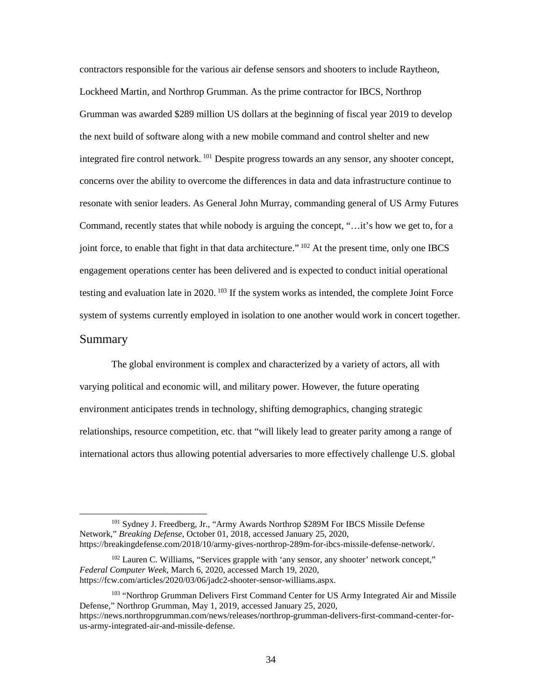contractors responsible for the various air defense sensors and shooters to include Raytheon, Lockheed Martin, and Northrop Grumman. As the prime contractor for IBCS, Northrop Grumman was awarded \$289 million US dollars at the beginning of fiscal year 2019 to develop the next build of software along with a new mobile command and control shelter and new integrated fire control network.<sup>101</sup> Despite progress towards an any sensor, any shooter concept, concerns over the ability to overcome the differences in data and data infrastructure continue to resonate with senior leaders. As General John Murray, commanding general of US Army Futures Command, recently states that while nobody is arguing the concept, "…it's how we get to, for a joint force, to enable that fight in that data architecture." <sup>102</sup> At the present time, only one IBCS engagement operations center has been delivered and is expected to conduct initial operational testing and evaluation late in 2020. <sup>103</sup> If the system works as intended, the complete Joint Force system of systems currently employed in isolation to one another would work in concert together.

#### <span id="page-41-0"></span>Summary

The global environment is complex and characterized by a variety of actors, all with varying political and economic will, and military power. However, the future operating environment anticipates trends in technology, shifting demographics, changing strategic relationships, resource competition, etc. that "will likely lead to greater parity among a range of international actors thus allowing potential adversaries to more effectively challenge U.S. global

<sup>&</sup>lt;sup>101</sup> Sydney J. Freedberg, Jr., "Army Awards Northrop \$289M For IBCS Missile Defense Network," *Breaking Defense*, October 01, 2018, accessed January 25, 2020, https://breakingdefense.com/2018/10/army-gives-northrop-289m-for-ibcs-missile-defense-network/.

<sup>102</sup> Lauren C. Williams, "Services grapple with 'any sensor, any shooter' network concept," *Federal Computer Week*, March 6, 2020, accessed March 19, 2020, https://fcw.com/articles/2020/03/06/jadc2-shooter-sensor-williams.aspx.

<sup>&</sup>lt;sup>103</sup> "Northrop Grumman Delivers First Command Center for US Army Integrated Air and Missile Defense," Northrop Grumman, May 1, 2019, accessed January 25, 2020, https://news.northropgrumman.com/news/releases/northrop-grumman-delivers-first-command-center-forus-army-integrated-air-and-missile-defense.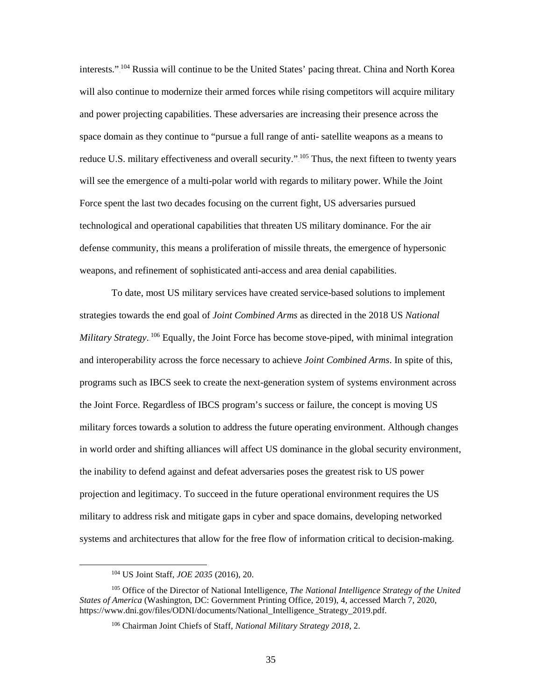interests."<sup>104</sup> Russia will continue to be the United States' pacing threat. China and North Korea will also continue to modernize their armed forces while rising competitors will acquire military and power projecting capabilities. These adversaries are increasing their presence across the space domain as they continue to "pursue a full range of anti- satellite weapons as a means to reduce U.S. military effectiveness and overall security."<sup>105</sup> Thus, the next fifteen to twenty years will see the emergence of a multi-polar world with regards to military power. While the Joint Force spent the last two decades focusing on the current fight, US adversaries pursued technological and operational capabilities that threaten US military dominance. For the air defense community, this means a proliferation of missile threats, the emergence of hypersonic weapons, and refinement of sophisticated anti-access and area denial capabilities.

To date, most US military services have created service-based solutions to implement strategies towards the end goal of *Joint Combined Arms* as directed in the 2018 US *National*  Military Strategy.<sup>106</sup> Equally, the Joint Force has become stove-piped, with minimal integration and interoperability across the force necessary to achieve *Joint Combined Arms*. In spite of this, programs such as IBCS seek to create the next-generation system of systems environment across the Joint Force. Regardless of IBCS program's success or failure, the concept is moving US military forces towards a solution to address the future operating environment. Although changes in world order and shifting alliances will affect US dominance in the global security environment, the inability to defend against and defeat adversaries poses the greatest risk to US power projection and legitimacy. To succeed in the future operational environment requires the US military to address risk and mitigate gaps in cyber and space domains, developing networked systems and architectures that allow for the free flow of information critical to decision-making.

 <sup>104</sup> US Joint Staff, *JOE 2035* (2016), 20.

<sup>105</sup> Office of the Director of National Intelligence, *The National Intelligence Strategy of the United States of America* (Washington, DC: Government Printing Office, 2019), 4, accessed March 7, 2020, https://www.dni.gov/files/ODNI/documents/National\_Intelligence\_Strategy\_2019.pdf.

<sup>106</sup> Chairman Joint Chiefs of Staff, *National Military Strategy 2018*, 2.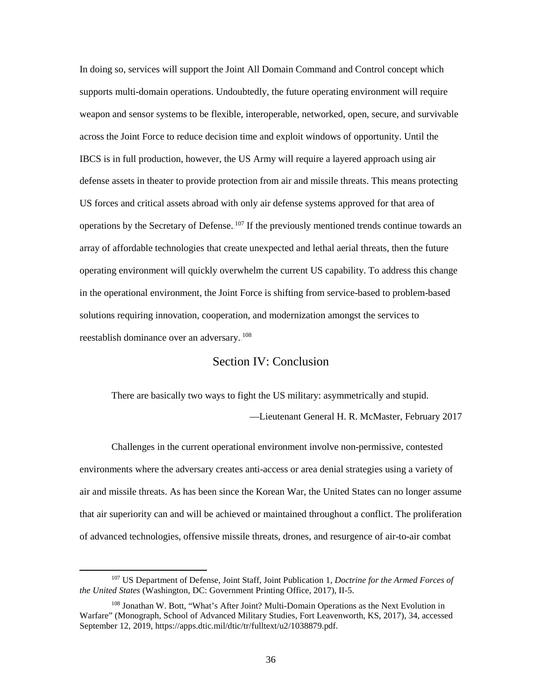In doing so, services will support the Joint All Domain Command and Control concept which supports multi-domain operations. Undoubtedly, the future operating environment will require weapon and sensor systems to be flexible, interoperable, networked, open, secure, and survivable across the Joint Force to reduce decision time and exploit windows of opportunity. Until the IBCS is in full production, however, the US Army will require a layered approach using air defense assets in theater to provide protection from air and missile threats. This means protecting US forces and critical assets abroad with only air defense systems approved for that area of operations by the Secretary of Defense. <sup>107</sup> If the previously mentioned trends continue towards an array of affordable technologies that create unexpected and lethal aerial threats, then the future operating environment will quickly overwhelm the current US capability. To address this change in the operational environment, the Joint Force is shifting from service-based to problem-based solutions requiring innovation, cooperation, and modernization amongst the services to reestablish dominance over an adversary.<sup>108</sup>

# Section IV: Conclusion

<span id="page-43-0"></span>There are basically two ways to fight the US military: asymmetrically and stupid.

—Lieutenant General H. R. McMaster, February 2017

Challenges in the current operational environment involve non-permissive, contested environments where the adversary creates anti-access or area denial strategies using a variety of air and missile threats. As has been since the Korean War, the United States can no longer assume that air superiority can and will be achieved or maintained throughout a conflict. The proliferation of advanced technologies, offensive missile threats, drones, and resurgence of air-to-air combat

 <sup>107</sup> US Department of Defense, Joint Staff, Joint Publication 1, *Doctrine for the Armed Forces of the United States* (Washington, DC: Government Printing Office, 2017), II-5.

<sup>108</sup> Jonathan W. Bott, "What's After Joint? Multi-Domain Operations as the Next Evolution in Warfare" (Monograph, School of Advanced Military Studies, Fort Leavenworth, KS, 2017), 34, accessed September 12, 2019, https://apps.dtic.mil/dtic/tr/fulltext/u2/1038879.pdf.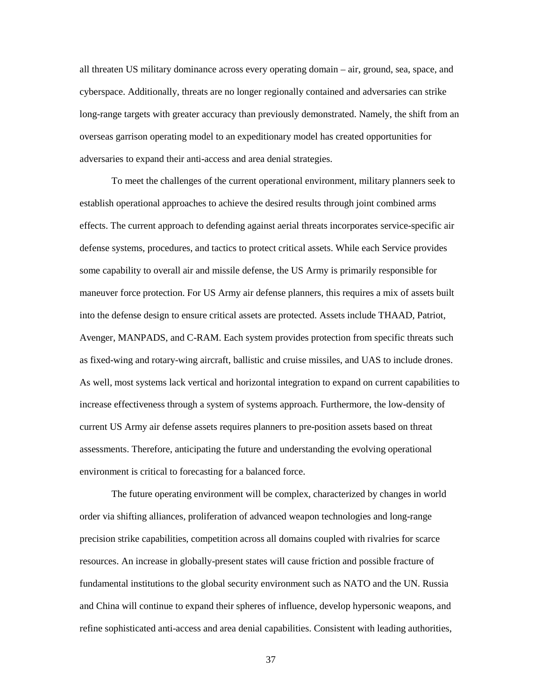all threaten US military dominance across every operating domain – air, ground, sea, space, and cyberspace. Additionally, threats are no longer regionally contained and adversaries can strike long-range targets with greater accuracy than previously demonstrated. Namely, the shift from an overseas garrison operating model to an expeditionary model has created opportunities for adversaries to expand their anti-access and area denial strategies.

To meet the challenges of the current operational environment, military planners seek to establish operational approaches to achieve the desired results through joint combined arms effects. The current approach to defending against aerial threats incorporates service-specific air defense systems, procedures, and tactics to protect critical assets. While each Service provides some capability to overall air and missile defense, the US Army is primarily responsible for maneuver force protection. For US Army air defense planners, this requires a mix of assets built into the defense design to ensure critical assets are protected. Assets include THAAD, Patriot, Avenger, MANPADS, and C-RAM. Each system provides protection from specific threats such as fixed-wing and rotary-wing aircraft, ballistic and cruise missiles, and UAS to include drones. As well, most systems lack vertical and horizontal integration to expand on current capabilities to increase effectiveness through a system of systems approach. Furthermore, the low-density of current US Army air defense assets requires planners to pre-position assets based on threat assessments. Therefore, anticipating the future and understanding the evolving operational environment is critical to forecasting for a balanced force.

The future operating environment will be complex, characterized by changes in world order via shifting alliances, proliferation of advanced weapon technologies and long-range precision strike capabilities, competition across all domains coupled with rivalries for scarce resources. An increase in globally-present states will cause friction and possible fracture of fundamental institutions to the global security environment such as NATO and the UN. Russia and China will continue to expand their spheres of influence, develop hypersonic weapons, and refine sophisticated anti-access and area denial capabilities. Consistent with leading authorities,

37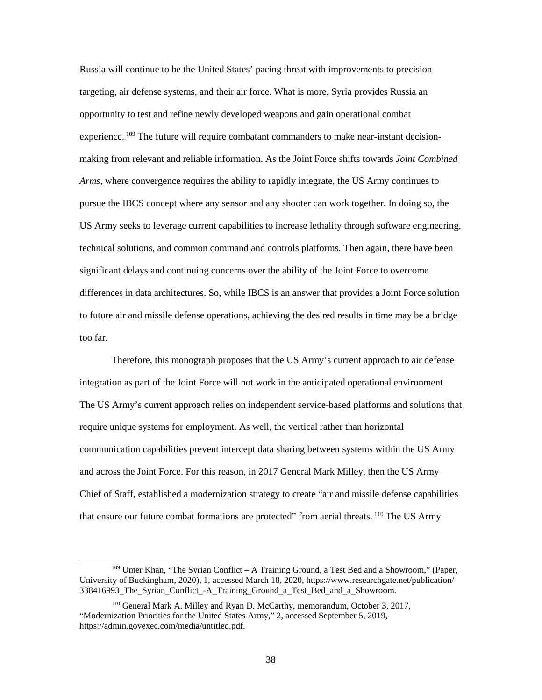Russia will continue to be the United States' pacing threat with improvements to precision targeting, air defense systems, and their air force. What is more, Syria provides Russia an opportunity to test and refine newly developed weapons and gain operational combat experience.<sup>109</sup> The future will require combatant commanders to make near-instant decisionmaking from relevant and reliable information. As the Joint Force shifts towards *Joint Combined Arms*, where convergence requires the ability to rapidly integrate, the US Army continues to pursue the IBCS concept where any sensor and any shooter can work together. In doing so, the US Army seeks to leverage current capabilities to increase lethality through software engineering, technical solutions, and common command and controls platforms. Then again, there have been significant delays and continuing concerns over the ability of the Joint Force to overcome differences in data architectures. So, while IBCS is an answer that provides a Joint Force solution to future air and missile defense operations, achieving the desired results in time may be a bridge too far.

Therefore, this monograph proposes that the US Army's current approach to air defense integration as part of the Joint Force will not work in the anticipated operational environment. The US Army's current approach relies on independent service-based platforms and solutions that require unique systems for employment. As well, the vertical rather than horizontal communication capabilities prevent intercept data sharing between systems within the US Army and across the Joint Force. For this reason, in 2017 General Mark Milley, then the US Army Chief of Staff, established a modernization strategy to create "air and missile defense capabilities that ensure our future combat formations are protected" from aerial threats. <sup>110</sup> The US Army

 <sup>109</sup> Umer Khan, "The Syrian Conflict – A Training Ground, a Test Bed and a Showroom," (Paper, University of Buckingham, 2020), 1, accessed March 18, 2020, https://www.researchgate.net/publication/ 338416993 The Syrian Conflict -A Training Ground a Test Bed and a Showroom.

<sup>110</sup> General Mark A. Milley and Ryan D. McCarthy, memorandum, October 3, 2017, "Modernization Priorities for the United States Army," 2, accessed September 5, 2019, https://admin.govexec.com/media/untitled.pdf.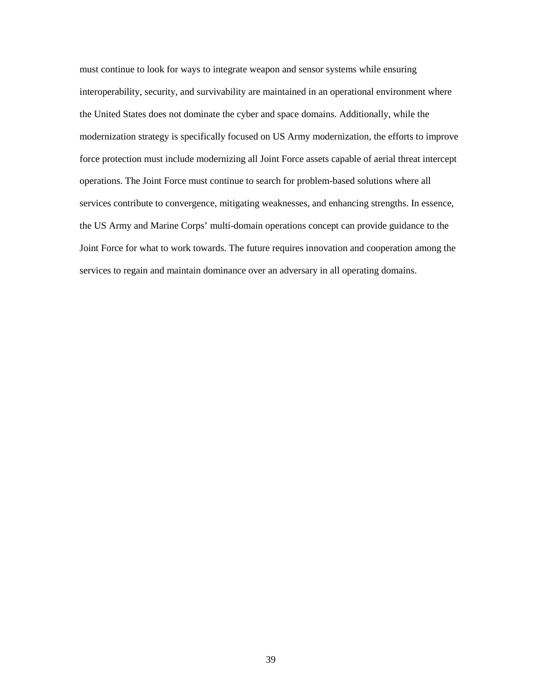must continue to look for ways to integrate weapon and sensor systems while ensuring interoperability, security, and survivability are maintained in an operational environment where the United States does not dominate the cyber and space domains. Additionally, while the modernization strategy is specifically focused on US Army modernization, the efforts to improve force protection must include modernizing all Joint Force assets capable of aerial threat intercept operations. The Joint Force must continue to search for problem-based solutions where all services contribute to convergence, mitigating weaknesses, and enhancing strengths. In essence, the US Army and Marine Corps' multi-domain operations concept can provide guidance to the Joint Force for what to work towards. The future requires innovation and cooperation among the services to regain and maintain dominance over an adversary in all operating domains.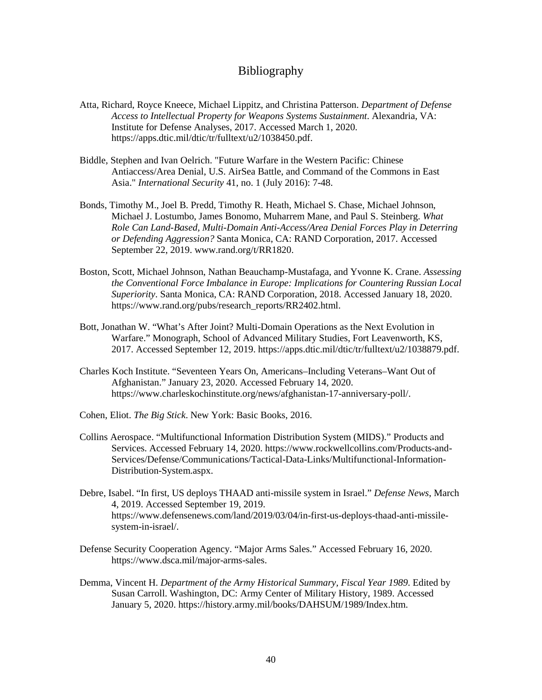## Bibliography

- <span id="page-47-0"></span>Atta, Richard, Royce Kneece, Michael Lippitz, and Christina Patterson. *Department of Defense Access to Intellectual Property for Weapons Systems Sustainment*. Alexandria, VA: Institute for Defense Analyses, 2017. Accessed March 1, 2020. https://apps.dtic.mil/dtic/tr/fulltext/u2/1038450.pdf.
- Biddle, Stephen and Ivan Oelrich. "Future Warfare in the Western Pacific: Chinese Antiaccess/Area Denial, U.S. AirSea Battle, and Command of the Commons in East Asia." *International Security* 41, no. 1 (July 2016): 7-48.
- Bonds, Timothy M., Joel B. Predd, Timothy R. Heath, Michael S. Chase, Michael Johnson, Michael J. Lostumbo, James Bonomo, Muharrem Mane, and Paul S. Steinberg. *What Role Can Land-Based, Multi-Domain Anti-Access/Area Denial Forces Play in Deterring or Defending Aggression?* Santa Monica, CA: RAND Corporation, 2017. Accessed September 22, 2019. www.rand.org/t/RR1820.
- Boston, Scott, Michael Johnson, Nathan Beauchamp-Mustafaga, and Yvonne K. Crane. *Assessing the Conventional Force Imbalance in Europe: Implications for Countering Russian Local Superiority*. Santa Monica, CA: RAND Corporation, 2018. Accessed January 18, 2020. [https://www.rand.org/pubs/research\\_reports/RR2402.html.](https://www.rand.org/pubs/research_reports/RR2402.html)
- Bott, Jonathan W. "What's After Joint? Multi-Domain Operations as the Next Evolution in Warfare." Monograph, School of Advanced Military Studies, Fort Leavenworth, KS, 2017. Accessed September 12, 2019. https://apps.dtic.mil/dtic/tr/fulltext/u2/1038879.pdf.
- Charles Koch Institute. "Seventeen Years On, Americans–Including Veterans–Want Out of Afghanistan." January 23, 2020. Accessed February 14, 2020. [https://www.charleskochinstitute.org/news/afghanistan-17-anniversary-poll/.](https://www.charleskochinstitute.org/news/afghanistan-17-anniversary-poll/)
- Cohen, Eliot. *The Big Stick*. New York: Basic Books, 2016.
- Collins Aerospace. "Multifunctional Information Distribution System (MIDS)." Products and Services. Accessed February 14, 2020. https://www.rockwellcollins.com/Products-and-Services/Defense/Communications/Tactical-Data-Links/Multifunctional-Information-Distribution-System.aspx.
- Debre, Isabel. "In first, US deploys THAAD anti-missile system in Israel." *Defense News*, March 4, 2019. Accessed September 19, 2019. https://www.defensenews.com/land/2019/03/04/in-first-us-deploys-thaad-anti-missilesystem-in-israel/.
- Defense Security Cooperation Agency. "Major Arms Sales." Accessed February 16, 2020. https://www.dsca.mil/major-arms-sales.
- Demma, Vincent H. *Department of the Army Historical Summary, Fiscal Year 1989*. Edited by Susan Carroll. Washington, DC: Army Center of Military History, 1989. Accessed January 5, 2020. https://history.army.mil/books/DAHSUM/1989/Index.htm.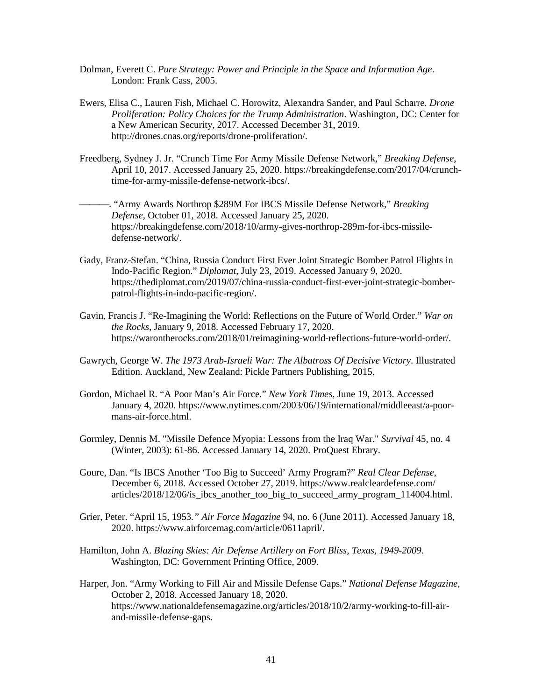- Dolman, Everett C. *Pure Strategy: Power and Principle in the Space and Information Age*. London: Frank Cass, 2005.
- Ewers, Elisa C., Lauren Fish, Michael C. Horowitz, Alexandra Sander, and Paul Scharre. *Drone Proliferation: Policy Choices for the Trump Administration*. Washington, DC: Center for a New American Security, 2017. Accessed December 31, 2019. http://drones.cnas.org/reports/drone-proliferation/.
- Freedberg, Sydney J. Jr. "Crunch Time For Army Missile Defense Network," *Breaking Defense*, April 10, 2017. Accessed January 25, 2020. https://breakingdefense.com/2017/04/crunchtime-for-army-missile-defense-network-ibcs/.
- . "Army Awards Northrop \$289M For IBCS Missile Defense Network," *Breaking Defense*, October 01, 2018. Accessed January 25, 2020. https://breakingdefense.com/2018/10/army-gives-northrop-289m-for-ibcs-missiledefense-network/.
- Gady, Franz-Stefan. "China, Russia Conduct First Ever Joint Strategic Bomber Patrol Flights in Indo-Pacific Region." *Diplomat*, July 23, 2019. Accessed January 9, 2020. https://thediplomat.com/2019/07/china-russia-conduct-first-ever-joint-strategic-bomberpatrol-flights-in-indo-pacific-region/.
- Gavin, Francis J. "Re-Imagining the World: Reflections on the Future of World Order." *War on the Rocks*, January 9, 2018. Accessed February 17, 2020. https://warontherocks.com/2018/01/reimagining-world-reflections-future-world-order/.
- Gawrych, George W. *The 1973 Arab-Israeli War: The Albatross Of Decisive Victory*. Illustrated Edition. Auckland, New Zealand: Pickle Partners Publishing, 2015.
- Gordon, Michael R. "A Poor Man's Air Force." *New York Times*, June 19, 2013. Accessed January 4, 2020. [https://www.nytimes.com/2003/06/19/international/middleeast/a-poor](https://www.nytimes.com/2003/06/19/international/middleeast/a-poor-mans-air-force.html)[mans-air-force.html.](https://www.nytimes.com/2003/06/19/international/middleeast/a-poor-mans-air-force.html)
- Gormley, Dennis M. "Missile Defence Myopia: Lessons from the Iraq War." *Survival* 45, no. 4 (Winter, 2003): 61-86. Accessed January 14, 2020. ProQuest Ebrary.
- Goure, Dan. "Is IBCS Another 'Too Big to Succeed' Army Program?" *Real Clear Defense*, December 6, 2018. Accessed October 27, 2019. https://www.realcleardefense.com/ articles/2018/12/06/is ibcs another too big to succeed army program 114004.html.
- Grier, Peter. "April 15, 1953*." Air Force Magazine* 94, no. 6 (June 2011). Accessed January 18, 2020. [https://www.airforcemag.com/article/0611april/.](https://www.airforcemag.com/article/0611april/)
- Hamilton, John A. *Blazing Skies: Air Defense Artillery on Fort Bliss, Texas, 1949-2009*. Washington, DC: Government Printing Office, 2009.
- Harper, Jon. "Army Working to Fill Air and Missile Defense Gaps." *National Defense Magazine*, October 2, 2018. Accessed January 18, 2020. https://www.nationaldefensemagazine.org/articles/2018/10/2/army-working-to-fill-airand-missile-defense-gaps.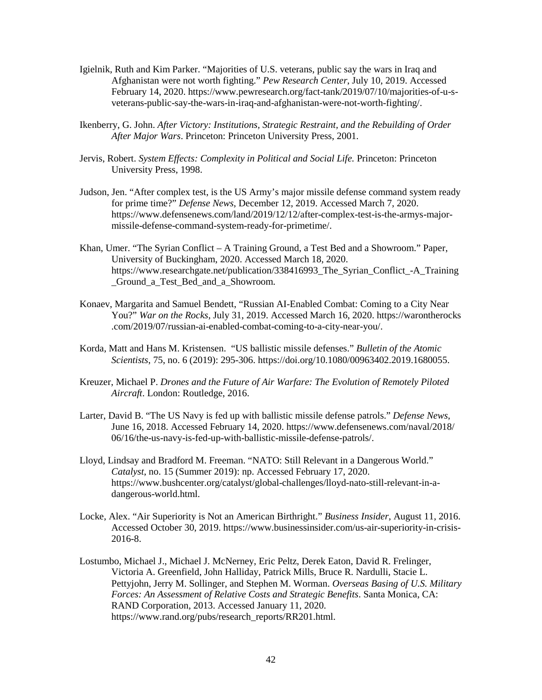- Igielnik, Ruth and Kim Parker. "Majorities of U.S. veterans, public say the wars in Iraq and Afghanistan were not worth fighting." *Pew Research Center*, July 10, 2019. Accessed February 14, 2020. https://www.pewresearch.org/fact-tank/2019/07/10/majorities-of-u-sveterans-public-say-the-wars-in-iraq-and-afghanistan-were-not-worth-fighting/.
- Ikenberry, G. John. *After Victory: Institutions, Strategic Restraint, and the Rebuilding of Order After Major Wars*. Princeton: Princeton University Press, 2001.
- Jervis, Robert. *System Effects: Complexity in Political and Social Life.* Princeton: Princeton University Press, 1998.
- Judson, Jen. "After complex test, is the US Army's major missile defense command system ready for prime time?" *Defense News*, December 12, 2019. Accessed March 7, 2020. https://www.defensenews.com/land/2019/12/12/after-complex-test-is-the-armys-majormissile-defense-command-system-ready-for-primetime/.
- Khan, Umer. "The Syrian Conflict A Training Ground, a Test Bed and a Showroom." Paper, University of Buckingham, 2020. Accessed March 18, 2020. https://www.researchgate.net/publication/338416993\_The\_Syrian\_Conflict\_-A\_Training \_Ground\_a\_Test\_Bed\_and\_a\_Showroom.
- Konaev, Margarita and Samuel Bendett, "Russian AI-Enabled Combat: Coming to a City Near You?" *War on the Rocks*, July 31, 2019. Accessed March 16, 2020. https://warontherocks .com/2019/07/russian-ai-enabled-combat-coming-to-a-city-near-you/.
- Korda, Matt and Hans M. Kristensen. "US ballistic missile defenses." *Bulletin of the Atomic Scientists*, 75, no. 6 (2019): 295-306. [https://doi.org/10.1080/00963402.2019.1680055.](https://doi.org/10.1080/00963402.2019.1680055)
- Kreuzer, Michael P. *Drones and the Future of Air Warfare: The Evolution of Remotely Piloted Aircraft*. London: Routledge, 2016.
- Larter, David B. "The US Navy is fed up with ballistic missile defense patrols." *Defense News*, June 16, 2018. Accessed February 14, 2020. https://www.defensenews.com/naval/2018/ 06/16/the-us-navy-is-fed-up-with-ballistic-missile-defense-patrols/.
- Lloyd, Lindsay and Bradford M. Freeman. "NATO: Still Relevant in a Dangerous World." *Catalyst*, no. 15 (Summer 2019): np. Accessed February 17, 2020. https://www.bushcenter.org/catalyst/global-challenges/lloyd-nato-still-relevant-in-adangerous-world.html.
- Locke, Alex. "Air Superiority is Not an American Birthright." *Business Insider*, August 11, 2016. Accessed October 30, 2019. https://www.businessinsider.com/us-air-superiority-in-crisis-2016-8.
- Lostumbo, Michael J., Michael J. McNerney, Eric Peltz, Derek Eaton, David R. Frelinger, Victoria A. Greenfield, John Halliday, Patrick Mills, Bruce R. Nardulli, Stacie L. Pettyjohn, Jerry M. Sollinger, and Stephen M. Worman. *Overseas Basing of U.S. Military Forces: An Assessment of Relative Costs and Strategic Benefits*. Santa Monica, CA: RAND Corporation, 2013. Accessed January 11, 2020. [https://www.rand.org/pubs/research\\_reports/RR201.html.](https://www.rand.org/pubs/research_reports/RR201.html)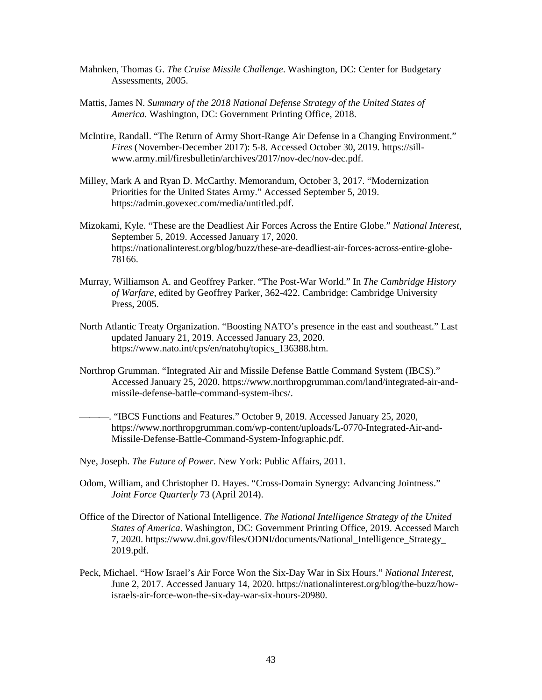- Mahnken, Thomas G. *The Cruise Missile Challenge*. Washington, DC: Center for Budgetary Assessments, 2005.
- Mattis, James N. *Summary of the 2018 National Defense Strategy of the United States of America*. Washington, DC: Government Printing Office, 2018.
- McIntire, Randall. "The Return of Army Short-Range Air Defense in a Changing Environment." *Fires* (November-December 2017): 5-8. Accessed October 30, 2019. https://sillwww.army.mil/firesbulletin/archives/2017/nov-dec/nov-dec.pdf.
- Milley, Mark A and Ryan D. McCarthy. Memorandum, October 3, 2017. "Modernization Priorities for the United States Army." Accessed September 5, 2019. https://admin.govexec.com/media/untitled.pdf.
- Mizokami, Kyle. "These are the Deadliest Air Forces Across the Entire Globe." *National Interest*, September 5, 2019. Accessed January 17, 2020. https://nationalinterest.org/blog/buzz/these-are-deadliest-air-forces-across-entire-globe-78166.
- Murray, Williamson A. and Geoffrey Parker. "The Post-War World." In *The Cambridge History of Warfare*, edited by Geoffrey Parker, 362-422. Cambridge: Cambridge University Press, 2005.
- North Atlantic Treaty Organization. "Boosting NATO's presence in the east and southeast." Last updated January 21, 2019. Accessed January 23, 2020. https://www.nato.int/cps/en/natohq/topics\_136388.htm.
- Northrop Grumman. "Integrated Air and Missile Defense Battle Command System (IBCS)." Accessed January 25, 2020. [https://www.northropgrumman.com/land/integrated-air-and](https://www.northropgrumman.com/land/integrated-air-and-missile-defense-battle-command-system-ibcs/)[missile-defense-battle-command-system-ibcs/.](https://www.northropgrumman.com/land/integrated-air-and-missile-defense-battle-command-system-ibcs/)
	- . "IBCS Functions and Features." October 9, 2019. Accessed January 25, 2020, https://www.northropgrumman.com/wp-content/uploads/L-0770-Integrated-Air-and-Missile-Defense-Battle-Command-System-Infographic.pdf.
- Nye, Joseph. *The Future of Power*. New York: Public Affairs, 2011.
- Odom, William, and Christopher D. Hayes. "Cross-Domain Synergy: Advancing Jointness." *Joint Force Quarterly* 73 (April 2014).
- Office of the Director of National Intelligence. *The National Intelligence Strategy of the United States of America*. Washington, DC: Government Printing Office, 2019. Accessed March 7, 2020. [https://www.dni.gov/files/ODNI/documents/National\\_Intelligence\\_Strategy\\_](https://www.dni.gov/files/ODNI/documents/National_Intelligence_Strategy_) 2019.pdf.
- Peck, Michael. "How Israel's Air Force Won the Six-Day War in Six Hours." *National Interest*, June 2, 2017. Accessed January 14, 2020. https://nationalinterest.org/blog/the-buzz/howisraels-air-force-won-the-six-day-war-six-hours-20980.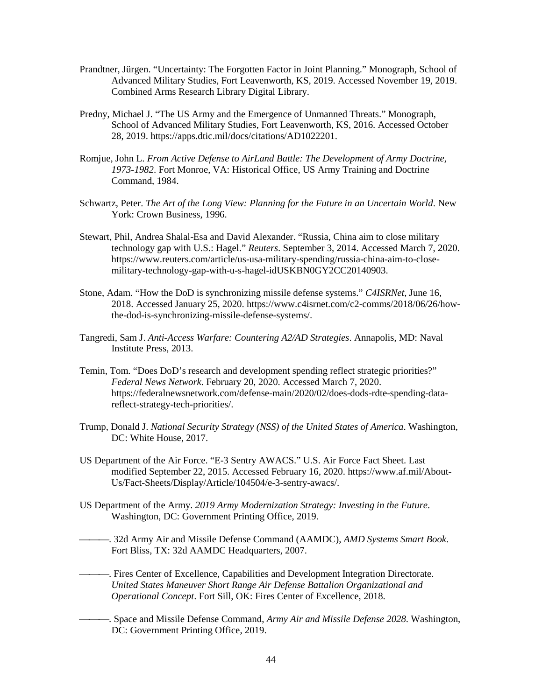- Prandtner, Jürgen. "Uncertainty: The Forgotten Factor in Joint Planning." Monograph, School of Advanced Military Studies, Fort Leavenworth, KS, 2019. Accessed November 19, 2019. Combined Arms Research Library Digital Library.
- Predny, Michael J. "The US Army and the Emergence of Unmanned Threats." Monograph, School of Advanced Military Studies, Fort Leavenworth, KS, 2016. Accessed October 28, 2019. https://apps.dtic.mil/docs/citations/AD1022201.
- Romjue, John L. *From Active Defense to AirLand Battle: The Development of Army Doctrine, 1973-1982*. Fort Monroe, VA: Historical Office, US Army Training and Doctrine Command, 1984.
- Schwartz, Peter. *The Art of the Long View: Planning for the Future in an Uncertain World*. New York: Crown Business, 1996.
- Stewart, Phil, Andrea Shalal-Esa and David Alexander. "Russia, China aim to close military technology gap with U.S.: Hagel." *Reuters*. September 3, 2014. Accessed March 7, 2020. https://www.reuters.com/article/us-usa-military-spending/russia-china-aim-to-closemilitary-technology-gap-with-u-s-hagel-idUSKBN0GY2CC20140903.
- Stone, Adam. "How the DoD is synchronizing missile defense systems." *C4ISRNet*, June 16, 2018. Accessed January 25, 2020[. https://www.c4isrnet.com/c2-comms/2018/06/26/how](https://www.c4isrnet.com/c2-comms/2018/06/26/how-the-dod-is-synchronizing-missile-defense-systems/)[the-dod-is-synchronizing-missile-defense-systems/.](https://www.c4isrnet.com/c2-comms/2018/06/26/how-the-dod-is-synchronizing-missile-defense-systems/)
- Tangredi, Sam J. *Anti-Access Warfare: Countering A2/AD Strategies*. Annapolis, MD: Naval Institute Press, 2013.
- Temin, Tom. "Does DoD's research and development spending reflect strategic priorities?" *Federal News Network*. February 20, 2020. Accessed March 7, 2020. https://federalnewsnetwork.com/defense-main/2020/02/does-dods-rdte-spending-datareflect-strategy-tech-priorities/.
- Trump, Donald J. *National Security Strategy (NSS) of the United States of America*. Washington, DC: White House, 2017.
- US Department of the Air Force. "E-3 Sentry AWACS." U.S. Air Force Fact Sheet. Last modified September 22, 2015. Accessed February 16, 2020. [https://www.af.mil/About-](https://www.af.mil/About-Us/Fact-Sheets/Display/Article/104504/e-3-sentry-awacs/)[Us/Fact-Sheets/Display/Article/104504/e-3-sentry-awacs/.](https://www.af.mil/About-Us/Fact-Sheets/Display/Article/104504/e-3-sentry-awacs/)
- US Department of the Army. *2019 Army Modernization Strategy: Investing in the Future*. Washington, DC: Government Printing Office, 2019.
- . 32d Army Air and Missile Defense Command (AAMDC), *AMD Systems Smart Book*. Fort Bliss, TX: 32d AAMDC Headquarters, 2007.
	- . Fires Center of Excellence, Capabilities and Development Integration Directorate. *United States Maneuver Short Range Air Defense Battalion Organizational and Operational Concept*. Fort Sill, OK: Fires Center of Excellence, 2018.
	- . Space and Missile Defense Command, *Army Air and Missile Defense 2028*. Washington, DC: Government Printing Office, 2019.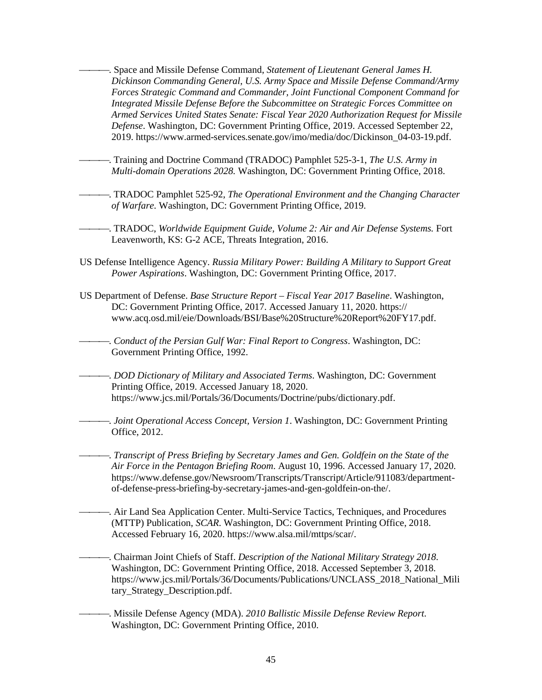. Space and Missile Defense Command, *Statement of Lieutenant General James H. Dickinson Commanding General, U.S. Army Space and Missile Defense Command/Army Forces Strategic Command and Commander, Joint Functional Component Command for Integrated Missile Defense Before the Subcommittee on Strategic Forces Committee on Armed Services United States Senate: Fiscal Year 2020 Authorization Request for Missile Defense*. Washington, DC: Government Printing Office, 2019. Accessed September 22, 2019. https://www.armed-services.senate.gov/imo/media/doc/Dickinson\_04-03-19.pdf.

- . Training and Doctrine Command (TRADOC) Pamphlet 525-3-1, *The U.S. Army in Multi-domain Operations 2028.* Washington, DC: Government Printing Office, 2018.
- . TRADOC Pamphlet 525-92, *The Operational Environment and the Changing Character of Warfare.* Washington, DC: Government Printing Office, 2019.
- . TRADOC, *Worldwide Equipment Guide, Volume 2: Air and Air Defense Systems.* Fort Leavenworth, KS: G-2 ACE, Threats Integration, 2016.
- US Defense Intelligence Agency. *Russia Military Power: Building A Military to Support Great Power Aspirations*. Washington, DC: Government Printing Office, 2017.
- US Department of Defense. *Base Structure Report Fiscal Year 2017 Baseline*. Washington, DC: Government Printing Office, 2017. Accessed January 11, 2020. https:// www.acq.osd.mil/eie/Downloads/BSI/Base%20Structure%20Report%20FY17.pdf.

. *Conduct of the Persian Gulf War: Final Report to Congress*. Washington, DC: Government Printing Office, 1992.

- . *DOD Dictionary of Military and Associated Terms*. Washington, DC: Government Printing Office, 2019. Accessed January 18, 2020. https://www.jcs.mil/Portals/36/Documents/Doctrine/pubs/dictionary.pdf.
	- . *Joint Operational Access Concept, Version 1*. Washington, DC: Government Printing Office, 2012.

. *Transcript of Press Briefing by Secretary James and Gen. Goldfein on the State of the Air Force in the Pentagon Briefing Room*. August 10, 1996. Accessed January 17, 2020. https://www.defense.gov/Newsroom/Transcripts/Transcript/Article/911083/departmentof-defense-press-briefing-by-secretary-james-and-gen-goldfein-on-the/.

. Air Land Sea Application Center. Multi-Service Tactics, Techniques, and Procedures (MTTP) Publication, *SCAR*. Washington, DC: Government Printing Office, 2018. Accessed February 16, 2020. https://www.alsa.mil/mttps/scar/.

. Chairman Joint Chiefs of Staff. *Description of the National Military Strategy 2018*. Washington, DC: Government Printing Office, 2018. Accessed September 3, 2018. https://www.jcs.mil/Portals/36/Documents/Publications/UNCLASS\_2018\_National\_Mili tary\_Strategy\_Description.pdf.

. Missile Defense Agency (MDA). *2010 Ballistic Missile Defense Review Report*. Washington, DC: Government Printing Office, 2010.